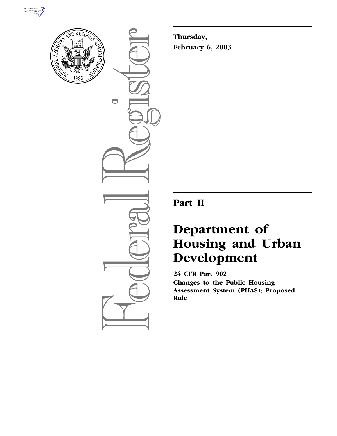



 $\bigcirc$ 

**Thursday, February 6, 2003**

# **Part II**

# **Department of Housing and Urban Development**

**24 CFR Part 902 Changes to the Public Housing Assessment System (PHAS); Proposed Rule**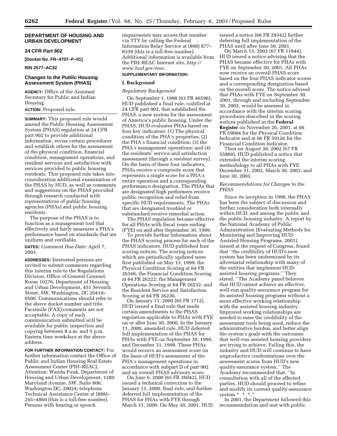# **DEPARTMENT OF HOUSING AND URBAN DEVELOPMENT**

# **24 CFR Part 902**

**[Docket No. FR–4707–P–01]** 

#### **RIN 2577–AC32**

# **Changes to the Public Housing Assessment System (PHAS)**

**AGENCY:** Office of the Assistant Secretary for Public and Indian Housing.

# **ACTION:** Proposed rule.

**SUMMARY:** This proposed rule would amend the Public Housing Assessment System (PHAS) regulation at 24 CFR part 902 to provide additional information, revise certain procedures and establish others for the assessment of the physical condition, financial condition, management operations, and resident services and satisfaction with services provided to public housing residents. This proposed rule takes into consideration additional examination of the PHAS by HUD, as well as comments and suggestions on the PHAS provided through research conducted with representatives of public housing agencies (PHAs) and public housing residents.

The purpose of the PHAS is to function as a management tool that effectively and fairly measures a PHA's performance based on standards that are uniform and verifiable.

**DATES:** *Comment Due Date:* April 7, 2003.

**ADDRESSES:** Interested persons are invited to submit comments regarding this interim rule to the Regulations Division, Office of General Counsel, Room 10276, Department of Housing and Urban Development, 451 Seventh Street, SW, Washington, DC 20410– 0500. Communications should refer to the above docket number and title. Facsimile (FAX) comments are not acceptable. A copy of each communication submitted will be available for public inspection and copying between 8 a.m. and 5 p.m. Eastern time weekdays at the above address.

**FOR FURTHER INFORMATION CONTACT:** For further information contact the Office of Public and Indian Housing Real Estate Assessment Center (PIH–REAC), Attention: Wanda Funk, Department of Housing and Urban Development, 1280 Maryland Avenue, SW, Suite 800, Washington DC, 20024; telephone Technical Assistance Center at (888)– 245–4860 (this is a toll-free number). Persons with hearing or speech

impairments may access that number via TTY by calling the Federal Information Relay Service at (800) 877– 8339 (this is a toll-free number). Additional information is available from the PIH–REAC Internet site, *http:// www.hud.gov/reac.*

# **SUPPLEMENTARY INFORMATION:**

# **I. Background**

#### *Regulatory Background*

On September 1, 1998 (63 FR 46596), HUD published a final rule, codified at 24 CFR part 902, that established the PHAS, a new system for the assessment of America's public housing. Under the PHAS, HUD evaluates PHAs based on four key indicators: (1) The physical condition of the PHA's properties; (2) the PHA's financial condition; (3) the PHA's management operations; and (4) the residents' service and satisfaction assessment (through a resident survey). On the basis of these four indicators, PHAs receive a composite score that represents a single score for a PHA's entire operation and a corresponding performance designation. The PHAs that are designated high performers receive public recognition and relief from specific HUD requirements. The PHAs that are designated troubled or substandard receive remedial action.

The PHAS regulation became effective for all PHAs with fiscal years ending (FYE) on and after September 30, 1999.

To provide further information about the PHAS scoring process for each of the PHAS indicators, HUD published four scoring notices. The scoring notices which are periodically updated were first published on May 13, 1999: the Physical Condition Scoring at 64 FR 26166; the Financial Condition Scoring at 64 FR 26222; the Management Operations Scoring at 64 FR 26232; and the Resident Service and Satisfaction Scoring at 64 FR 26236.

On January 11, 2000 (65 FR 1712), HUD issued a final rule that made certain amendments to the PHAS regulation applicable to PHAs with FYE on or after June 30, 2000. In the January 11, 2000, amended rule, HUD deferred full implementation of the PHAS for PHAs with FYE on September 30, 1999, and December 31, 1999. These PHAs would receive an assessment score on the basis of HUD's assessment of the PHA's management operations in accordance with subpart D of part 902 and an overall PHAS advisory score.

On June 6, 2000 (65 FR 36042), HUD issued a technical correction to the January 11, 2000, final rule, and further deferred full implementation of the PHAS for PHAs with FYE through March 31, 2000. On May 30, 2001, HUD issued a notice (66 FR 29342) further deferring full implementation of the PHAS until after June 30, 2001.

On March 15, 2002 (67 FR 11844), HUD issued a notice advising that the PHAS became effective for PHAs with FYE on September 30, 2001. All PHAs now receive an overall PHAS score based on the four PHAS indicator scores and a corresponding designation based on the overall score. The notice advised that PHAs with FYE on September 30, 2001, through and including September 30, 2002, would be assessed in accordance with the interim scoring procedures described in the scoring notices published in the **Federal Register** on November 26, 2001, at 66 FR 59084 for the Physical Condition Indicator and at 66 FR 59126 for the Financial Condition Indicator.

Then on August 30, 2002 (67 FR 55860), HUD published a notice that extended the interim scoring methodology to all PHAs with FYE December 31, 2002, March 30, 2003, and June 30, 2003.

# *Recommendations for Changes to the PHAS*

Since its inception in 1998, the PHAS has been the subject of discussion and further consideration both internally within HUD, and among the public and the public housing industry. A report by the National Academy of Public Administration (Evaluating Methods for Monitoring and Improving HUD-Assisted Housing Programs, 2001), issued at the request of Congress, found that ''the credibility of HUD's new system has been undermined by its adversarial relationship with many of the entities that implement HUDassisted housing programs.'' They stated, ''The Academy panel believes that HUD cannot achieve an effective, well-run quality-assurance program for its assisted housing programs without a more effective working relationship with the assisted housing industry. Improved working relationships are needed to raise the credibility of the assessment tools being used, reduce the administrative burden, and better align the system's goals with the outcomes that well-run assisted housing providers are trying to achieve. Failing this, the industry and HUD will continue to have unproductive confrontations over the assessment scores from HUD's new quality-assurance system.'' The Academy recommended that, ''In consultation with all of the affected parties, HUD should proceed to refine and modify its current quality-assurance system \*  $\frac{1}{x}$  \*  $\frac{1}{x}$ ."

In 2001, the Department followed this recommendation and met with public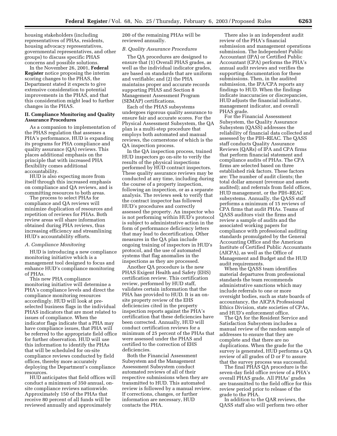housing stakeholders (including representatives of PHAs, residents, housing advocacy representatives, governmental representatives, and other groups) to discuss specific PHAS concerns and possible solutions.

In the November 26, 2001, **Federal Register** notice proposing the interim scoring changes to the PHAS, the Department stated it expects to give extensive consideration to potential improvements in the PHAS, and that this consideration might lead to further changes in the PHAS.

# **II. Compliance Monitoring and Quality Assurance Procedures**

As a companion to implementation of the PHAS regulation that assesses a PHA's performance, HUD is expanding its programs for PHA compliance and quality assurance (QA) reviews. This places additional emphasis on the principle that with increased PHA flexibility comes additional accountability.

HUD is also expecting more from itself through this increased emphasis on compliance and QA reviews, and is committing resources to both areas.

The process to select PHAs for compliance and QA reviews will minimize duplication of resources and repetition of reviews for PHAs. Both review areas will share information obtained during PHA reviews, thus increasing efficiency and streamlining HUD's accountability efforts.

#### *A. Compliance Monitoring*

HUD is introducing a new compliance monitoring initiative which is a management tool designed to focus and enhance HUD's compliance monitoring of PHAs.

This new PHA compliance monitoring initiative will determine a PHA's compliance levels and direct the compliance monitoring resources accordingly. HUD will look at preselected business flags in the individual PHAS indicators that are most related to issues of compliance. When the indicator flags indicate that a PHA may have compliance issues, that PHA will be referred to the appropriate field office for further observation. HUD will use this information to identify the PHAs that will be scheduled for on-site compliance reviews conducted by field offices, thereby more accurately deploying the Department's compliance resources.

HUD anticipates that field offices will conduct a minimum of 350 annual, onsite compliance reviews nationwide. Approximately 150 of the PHAs that receive 80 percent of all funds will be reviewed annually and approximately

200 of the remaining PHAs will be reviewed annually.

# *B. Quality Assurance Procedures*

The QA procedures are designed to ensure that (1) Overall PHAS grades, as well as the individual indicator grades, are based on standards that are uniform and verifiable; and (2) the PHA maintains proper and accurate records supporting PHAS and Section 8 Management Assessment Program (SEMAP) certifications.

Each of the PHAS subsystems undergoes rigorous quality assurance to ensure fair and accurate scores. For the Physical Assessment Subsystem, the QA plan is a multi-step procedure that employs both automated and manual reviews, the cornerstone of which is the QA inspection process.

In the QA inspection process, trained HUD inspectors go on-site to verify the results of the physical inspections performed by HUD contract inspectors. These quality assurance reviews may be conducted at any time, including during the course of a property inspection, following an inspection, or as a separate analysis. The reviews seek to verify that the contract inspector has followed HUD's procedures and correctly assessed the property. An inspector who is not performing within HUD's protocol is subject to administrative action in the form of performance deficiency letters that may lead to decertification. Other measures in the QA plan include ongoing training of inspectors in HUD's protocol, and the use of automated systems that flag anomalies in the inspections as they are processed.

Another QA procedure is the new PHAS Exigent Health and Safety (EHS) certification review. This certification review, performed by HUD staff, validates certain information that the PHA has provided to HUD. It is an onsite property review of the EHS deficiencies cited in the property inspection reports against the PHA's certification that these deficiencies have been corrected. Annually, HUD will conduct certification reviews for a minimum of 25 percent of the PHAs that were assessed under the PHAS and certified to the correction of EHS deficiencies.

Both the Financial Assessment Subsystem and the Management Assessment Subsystem conduct automated reviews of all of their respective submissions when they are transmitted to HUD. This automated review is followed by a manual review. If corrections, changes, or further information are necessary, HUD contacts the PHA.

There also is an independent audit review of the PHA's financial submission and management operations submission. The Independent Public Accountant (IPA) or Certified Public Accountant (CPA) performs the PHA's annual audit reviews and verifies the supporting documentation for these submissions. Then, in the audited submission, the IPA/CPA reports any findings to HUD. When the findings indicate inaccuracies or discrepancies, HUD adjusts the financial indicator, management indicator, and overall PHAS grade.

For the Financial Assessment Subsystem, the Quality Assurance Subsystem (QASS) addresses the reliability of financial data collected and assessed by the PIH–REAC. The QASS staff conducts Quality Assurance Reviews (QARs) of IPA and CPA firms that perform financial statement and compliance audits of PHAs. The CPA firms are selected based on three established risk factors. These factors are: The number of audit clients; the total dollar amount (revenue and assets audited); and referrals from field offices, HUD management, or the PIH–REAC subsystems. Annually, the QASS staff performs a minimum of 15 reviews of CPA firms that audit PHAs. Teams of QASS auditors visit the firms and review a sample of audits and the associated working papers for compliance with professional auditing standards promulgated by the General Accounting Office and the American Institute of Certified Public Accountants (AICPA), as well as the Office of Management and Budget and the HUD audit requirements.

When the QASS team identifies material departures from professional standards the team recommends administrative sanctions which may include referrals to one or more oversight bodies, such as state boards of accountancy, the AICPA Professional Ethics Division, state societies of CPAs, and HUD's enforcement office.

The QA for the Resident Service and Satisfaction Subsystem includes a manual review of the random sample of addresses to ensure that they are complete and that there are no duplications. When the grade for the survey is generated, HUD performs a QA review of all grades of D or F to assure that the survey process was successful.

The final PHAS QA procedure is the seven-day field office review of a PHA's overall PHAS grade. All PHAs' grades are transmitted to the field office for this review period prior to release of the grade to the PHA.

In addition to the QAR reviews, the QASS staff also will perform two other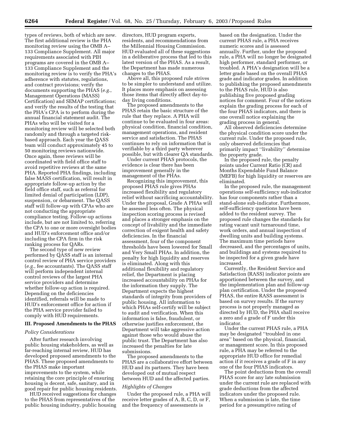types of reviews, both of which are new. The first additional review is the PHA monitoring review using the OMB A– 133 Compliance Supplement. All major requirements associated with PIH programs are covered in the OMB A– 133 Compliance Supplement and the monitoring review is to verify the PHA's adherence with statutes, regulations, and contract provisions; verify the documents supporting the PHAS (*e.g.*, Management Operations (MASS) Certification) and SEMAP certifications; and verify the results of the testing that the PHA's CPA is to perform during the annual financial statement audit. The PHAs who will be visited for a monitoring review will be selected both randomly and through a targeted riskbased approach. Each year the QASS team will conduct approximately 45 to 50 monitoring reviews nationwide. Once again, these reviews will be coordinated with field office staff to avoid repetitive reviews at the same PHA. Reported PHA findings, including false MASS certification, will result in appropriate follow-up action by the field office staff, such as referral for limited denial of participation (LDP), suspension, or debarment. The QASS staff will follow-up with CPAs who are not conducting the appropriate compliance testing. Follow-up actions include, but are not limited to, referring the CPA to one or more oversight bodies and HUD's enforcement office and/or including the CPA firm in the risk ranking process for QARs.

The second type of new review performed by QASS staff is an internal control review of PHA service providers (*e.g.*, fee accountants). The QASS staff will perform independent internal control reviews of the largest PHA service providers and determine whether follow-up action is required. Depending on the deficiencies identified, referrals will be made to HUD's enforcement office for action if the PHA service provider failed to comply with HUD requirements.

#### **III. Proposed Amendments to the PHAS**

#### *Policy Considerations*

After further research involving public housing stakeholders, as well as far-reaching internal review, HUD has developed proposed amendments to the PHAS. These proposed amendments to the PHAS make important improvements to the system, while retaining the core principle of ensuring housing is decent, safe, sanitary, and in good repair for public housing residents.

HUD received suggestions for changes to the PHAS from representatives of the public housing industry, public housing

directors, HUD program experts, residents, and recommendations from the Millennial Housing Commission. HUD evaluated all of these suggestions in a deliberative process that led to this latest version of the PHAS. As a result, the Department has made numerous changes to the PHAS.

Above all, this proposed rule strives to be simpler to understand and utilize. It places more emphasis on assessing those items that directly affect day-today living conditions.

The proposed amendments to the PHAS retain the basic structure of the rule that they replace. A PHA will continue to be evaluated in four areas: physical condition, financial condition, management operations, and resident service and satisfaction. The PHAS continues to rely on information that is verifiable by a third party wherever possible, but with clearer QA standards.

Under current PHAS protocols, the evidence is clear there has been improvement generally in the management of the PHAs.

Recognizing this improvement, this proposed PHAS rule gives PHAs increased flexibility and regulatory relief without sacrificing accountability. Under the proposal, Grade A PHAs will be assessed less often. The physical inspection scoring process is revised and places a stronger emphasis on the concept of livability and the immediate correction of exigent health and safety deficiencies. In the financial assessment, four of the component thresholds have been lowered for Small and Very Small PHAs. In addition, the penalty for high liquidity and reserves is eliminated. Along with this additional flexibility and regulatory relief, the Department is placing increased accountability on PHAs for the information they supply. The Department expects the highest standards of integrity from providers of public housing. All information to which PHAs self-certify will be subject to audit and verification. When this information is false, fraudulent, or otherwise justifies enforcement, the Department will take aggressive action against those who would abuse the public trust. The Department has also increased the penalties for late submissions.

The proposed amendments to the PHAS are a collaborative effort between HUD and its partners. They have been developed out of mutual respect between HUD and the affected parties.

#### *Highlights of Changes*

Under the proposed rule, a PHA will receive letter grades of A, B, C, D, or F, and the frequency of assessments is

based on the designation. Under the current PHAS rule, a PHA receives numeric scores and is assessed annually. Further, under the proposed rule, a PHA will no longer be designated high performer, standard performer, or troubled. A PHA's designation will be a letter grade based on the overall PHAS grade and indicator grades. In addition to publishing the proposed amendments to the PHAS rule, HUD is also publishing five proposed grading notices for comment. Four of the notices explain the grading process for each of the four PHAS indicators, and there is one overall notice explaining the grading process in general.

All observed deficiencies determine the physical condition score under the current rule. Under the proposed rule, only observed deficiencies that primarily impact ''livability'' determine the property grade.

In the proposed rule, the penalty points under Current Ratio (CR) and Months Expendable Fund Balance (MEFB) for high liquidity or reserves are eliminated.

In the proposed rule, the management operations self-sufficiency sub-indicator has four components rather than a stand-alone sub-indicator. Furthermore, self-sufficiency questions have been added to the resident survey. The proposed rule changes the standards for rating vacant unit turnaround time, work orders, and annual inspection of dwelling units and building systems. The maximum time periods have decreased, and the percentages of units, and buildings and systems required to be inspected for a given grade have increased.

Currently, the Resident Service and Satisfaction (RASS) indicator points are apportioned between the survey, and the implementation plan and follow-up plan certification. Under the proposed PHAS, the entire RASS assessment is based on survey results. If the survey process is not properly managed as directed by HUD, the PHA shall receive a zero and a grade of F under this indicator.

Under the current PHAS rule, a PHA may be designated ''troubled in one area'' based on the physical, financial, or management score. In this proposed rule, a PHA may be referred to the appropriate HUD office for remedial action if it receives a grade of F in any one of the four PHAS indicators.

The point deductions from the overall PHAS score for any late submission under the current rule are replaced with grade deductions from the affected indicators under the proposed rule. When a submission is late, the time period for a presumptive rating of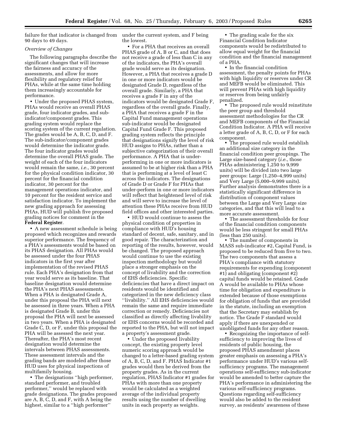failure for that indicator is changed from under the current system, and F being 90 days to 49 days.

# *Overview of Changes*

The following paragraphs describe the significant changes that will increase the fairness and accuracy of the assessments, and allow for more flexibility and regulatory relief for PHAs, while at the same time holding them increasingly accountable for performance.

• Under the proposed PHAS system, PHAs would receive an overall PHAS grade, four indicator grades, and subindicator/component grades. This grading system would replace the scoring system of the current regulation. The grades would be A, B, C, D, and F. The sub-indicator/component grades would determine the indicator grade. The four indicator grades would determine the overall PHAS grade. The weight of each of the four indicators would remain the same, *i.e.*, 30 percent for the physical condition indicator, 30 percent for the financial condition indicator, 30 percent for the management operations indicator, and 10 percent for the resident service and satisfaction indicator. To implement the new grading approach for assessing PHAs, HUD will publish five proposed grading notices for comment in the **Federal Register**.

• A new assessment schedule is being proposed which recognizes and rewards superior performance. The frequency of a PHA's assessments would be based on its PHAS designation. All PHAs would be assessed under the four PHAS indicators in the first year after implementation of the revised PHAS rule. Each PHA's designation from that year would serve as its baseline. That baseline designation would determine the PHA's next PHAS assessments. When a PHA is designated Grade A, under this proposal the PHA will next be assessed in three years. When a PHA is designated Grade B, under this proposal the PHA will next be assessed in two years. When a PHA is designated Grade C, D, or F, under this proposal the PHA will be assessed the next year. Thereafter, the PHA's most recent designation would determine the intervals between PHAS assessments. These assessment intervals and the grading bands are modeled after those HUD uses for physical inspections of multifamily housing.

• The designations ''high performer, standard performer, and troubled performer,'' would be replaced with grade designations. The grades proposed are A, B, C, D, and F, with A being the highest, similar to a ''high performer''

the lowest.

• For a PHA that receives an overall PHAS grade of A, B or C, and that does not receive a grade of less than C in any of the indicators, the PHA's overall grade would serve as its designation. However, a PHA that receives a grade D in one or more indicators would be designated Grade D, regardless of the overall grade. Similarly, a PHA that receives a grade F in any of the indicators would be designated Grade F, regardless of the overall grade. Finally, a PHA that receives a grade F in the Capital Fund management operations sub-indicator would be designated Capital Fund Grade F. This proposed grading system reflects the principle that designations signify the level of risk HUD assigns to PHAs, rather than a subjective categorization of their overall performance. A PHA that is underperforming in one or more indicators is assumed to be at higher risk than a PHA that is performing at a level of least C across the indicators. The designations of Grade D or Grade F for PHAs that under-perform in one or more indicators will reflect that heightened level of risk and will serve to increase the level of attention these PHAs receive from HUD field offices and other interested parties.

• HUD would continue to assess the physical condition of properties in compliance with HUD's housing standard of decent, safe, sanitary, and in good repair. The characterization and reporting of the results, however, would be changed. The proposed approach would continue to use the existing inspection methodology but would place a stronger emphasis on the concept of livability and the correction of EHS deficiencies. Specific deficiencies that have a direct impact on residents would be identified and categorized in the new deficiency class ''livability.'' All EHS deficiencies would remain the same and require immediate correction or remedy. Deficiencies not classified as directly affecting livability or EHS concerns would be recorded and reported to the PHA, but will not impact a property's assessment grade.

• Under the proposed livability concept, the existing property level numeric scoring approach would be changed to a letter-based grading system of A, B, C, D, and F. PHAS Indicator #1 grades would then be derived from the property grades. As in the current regulation, PHAS Indicator #1 grades for PHAs with more than one property would be calculated as a weighted average of the individual property results using the number of dwelling units in each property as weights.

• The grading scale for the six Financial Condition Indicator components would be redistributed to allow equal weight for the financial condition and the financial management of a PHA.

• In the financial condition assessment, the penalty points for PHAs with high liquidity or reserves under CR and MEFB would be eliminated. This will prevent PHAs with high liquidity or reserves from being unfairly penalized.

• The proposed rule would reinstitute the peer group and threshold assessment methodologies for the CR and MEFB components of the Financial Condition Indicator. A PHA will receive a letter grade of A, B, C, D, or F for each component.

• The proposed rule would establish an additional size category in the financial condition peer groupings. The Large size-based category (*i.e.*, those PHAs administering 1,250 to 9,999 units) will be divided into two large peer groups: Large (1,250–4,999 units) and Very Large (5,000–9,999 units). Further analysis demonstrates there is a statistically significant difference in distribution of component values between the Large and Very Large size categories, and that this will lead to a more accurate assessment.

• The assessment thresholds for four of the financial condition components would be less stringent for small PHAs (less than 250 units).

• The number of components in MASS sub-indicator #2, Capital Fund, is proposed to be reduced from five to two. The two components that assess a PHA's compliance with statutory requirements for expending (component #1) and obligating (component #2) capital funds would be retained. Grade A would be available to PHAs whose time for obligation and expenditure is extended because of those exemptions for obligation of funds that are provided in the statute, including an exemption that the Secretary may establish by notice. The Grade F standard would apply if there are unexpended or unobligated funds for any other reason.

• Recognizing the importance of selfsufficiency to improving the lives of residents of public housing, the proposed PHAS amendment places greater emphasis on assessing a PHA's performance under HUD's various selfsufficiency programs. The management operations self-sufficiency sub-indicator would be amended to better capture the PHA's performance in administering the various self-sufficiency programs. Questions regarding self-sufficiency would also be added to the resident survey, as residents' awareness of these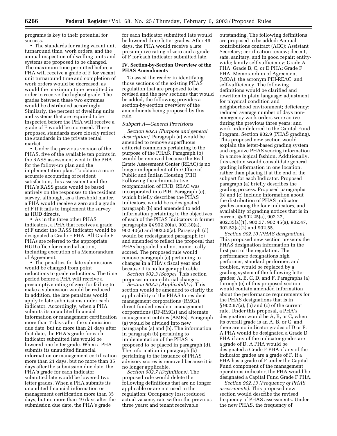programs is key to their potential for success.

• The standards for rating vacant unit turnaround time, work orders, and the annual inspection of dwelling units and systems are proposed to be changed. The maximum time permitted before a PHA will receive a grade of F for vacant unit turnaround time and completion of work orders would be decreased, as would the maximum time permitted in order to receive the highest grade. The grades between these two extremes would be distributed accordingly. Similarly, the percent of dwelling units and systems that are required to be inspected before the PHA will receive a grade of F would be increased. These proposed standards more closely reflect the standards in the private rental market.

• Under the previous version of the PHAS, five of the available ten points in the RASS assessment went to the PHA for the follow-up plan and the implementation plan. To obtain a more accurate accounting of resident satisfaction, this assessment and the PHA's RASS grade would be based entirely on the responses to the resident survey, although, as a threshold matter, a PHA would receive a zero and a grade of F if it fails to implement the survey as HUD directs.

• As in the three other PHAS indicators, a PHA that receives a grade of F under the RASS indicator would be designated a Grade F PHA. All Grade F PHAs are referred to the appropriate HUD office for remedial action, including execution of a Memorandum of Agreement.

• The penalties for late submissions would be changed from point reductions to grade reductions. The time period before a PHA will receive a presumptive rating of zero for failing to make a submission would be reduced. In addition, the late penalties would apply to late submissions under each indicator. Accordingly, when a PHA submits its unaudited financial information or management certification more than 7 days after the submission due date, but no more than 21 days after that date, the PHA's grade for each indicator submitted late would be lowered one letter grade. When a PHA submits its unaudited financial information or management certification more than 21 days, but no more than 35 days after the submission due date, the PHA's grade for each indicator submitted late would be lowered two letter grades. When a PHA submits its unaudited financial information or management certification more than 35 days, but no more than 49 days after the submission due date, the PHA's grade

for each indicator submitted late would be lowered three letter grades. After 49 days, the PHA would receive a late presumptive rating of zero and a grade of F for each indicator submitted late.

#### **IV. Section-by-Section Overview of the PHAS Amendments**

To assist the reader in identifying those sections of the existing PHAS regulation that are proposed to be revised and the new sections that would be added, the following provides a section-by-section overview of the amendments being proposed by this rule.

#### *Subpart A—General Provisions*

*Section 902.1 (Purpose and general description).* Paragraph (a) would be amended to remove superfluous editorial comments pertaining to the purpose of the PHAS. Paragraph (b) would be removed because the Real Estate Assessment Center (REAC) is no longer independent of the Office of Public and Indian Housing (PIH). Following the administrative reorganization of HUD, REAC was incorporated into PIH. Paragraph (c), which briefly describes the PHAS Indicators, would be redesignated paragraph (b) and amended to add information pertaining to the objectives of each of the PHAS Indicators in former paragraphs §§ 902.20(a), 902.30(a), 902.40(a) and 902.50(a). Paragraph (d) would be redesignated paragraph (c) and amended to reflect the proposal that PHAs be graded and not numerically scored. The proposed rule would remove paragraph (e) pertaining to changes in a PHA's fiscal year end because it is no longer applicable.

*Section 902.3 (Scope).* This section proposes minor editorial changes.

*Section 902.5 (Applicability).* This section would be amended to clarify the applicability of the PHAS to resident management corporations (RMCs), direct-funded resident management corporations (DF-RMCs) and alternate management entities (AMEs). Paragraph (a) would be divided into new paragraphs (a) and (b). The information in paragraph (b) pertaining to implementation of the PHAS is proposed to be placed in paragraph (d). The information in paragraph (b) pertaining to the issuance of PHAS advisory scores is removed because it is no longer applicable.

*Section 902.7 (Definitions).* The proposed rule would delete the following definitions that are no longer applicable or are not used in the regulation: Occupancy loss; reduced actual vacancy rate within the previous three years; and tenant receivable

outstanding. The following definitions are proposed to be added: Annual contributions contract (ACC); Assistant Secretary; certification review; decent, safe, sanitary, and in good repair; entitywide; family self-sufficiency; Grade A PHA; Grade B, C, or D PHA; Grade F PHA; Memorandum of Agreement (MOA); the acronym PIH-REAC; and self-sufficiency. The following definitions would be clarified and rewritten in plain language: adjustment for physical condition and neighborhood environment; deficiency; reduced average number of days nonemergency work orders were active during the previous three years; and work order deferred to the Capital Fund Program. Section 902.9 (PHAS grading). This proposed new section would explain the letter-based grading system and organize PHAS scoring information in a more logical fashion. Additionally, this section would consolidate general grading information in one location, rather than placing it at the end of the subpart for each Indicator. Proposed paragraph (a) briefly describes the grading process. Proposed paragraphs (b) and (c) include information about the distribution of PHAS indicator grades among the four indicators, and availability of grading notices that is in current §§ 902.25(a), 902.27, 902.35(a)(1), 902.37, 902.45(a), 902.47, 902.53(a)(2) and 902.55.

*Section 902.10 (PHAS designation).* This proposed new section presents the PHAS designation information in the first part of the regulation. The performance designations high performer, standard performer, and troubled, would be replaced by a grading system of the following letter grades: A, B, C, D, and F. Paragraphs (a) through (e) of this proposed section would contain amended information about the performance requirements for the PHAS designations that is in § 902.67(a), (b) and (c) of the current rule. Under this proposal, a PHA's designation would be A, B, or C, when its overall grade is an A, B, or C, and there are no indicator grades of D or F. A PHA would be designated a Grade D PHA if any of the indicator grades are a grade of D. A PHA would be designated a Grade F PHA if any of the indicator grades are a grade of F. If a PHA has a grade of F under the Capital Fund component of the management operations indicator, the PHA would be designated a Capital Fund Grade F PHA.

*Section 902.13 (Frequency of PHAS assessments).* This proposed new section would describe the revised frequency of PHAS assessments. Under the new PHAS, the frequency of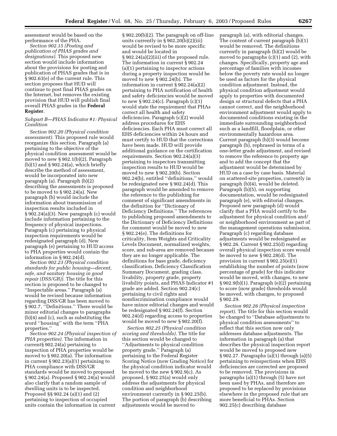assessment would be based on the performance of the PHA.

*Section 902.15 (Posting and publication of PHAS grades and designations).* This proposed new section would include information about the provisions for posting and publication of PHAS grades that is in § 902.63(e) of the current rule. This section proposes that HUD will continue to post final PHAS grades on the Internet, but removes the existing provision that HUD will publish final overall PHAS grades in the **Federal Register**.

# *Subpart B—PHAS Indicator #1: Physical Condition*

*Section 902.20 (Physical condition assessment).* This proposed rule would reorganize this section. Paragraph (a) pertaining to the objective of the physical condition assessment would be moved to new § 902.1(b)(2). Paragraph  $(b)(1)$  and  $\S 902.24(a)$ , which briefly describe the method of assessment, would be incorporated into new paragraph (a). Paragraph (b)(2) describing the assessments is proposed to be moved to § 902.24(a). New paragraph (b) would include the information about transmission of inspection results included in § 902.24(a)(3). New paragraph (c) would include information pertaining to the frequency of physical inspections. Paragraph (c) pertaining to physical inspection requirements would be redesignated paragraph (d). New paragraph (e) pertaining to HUD access to PHA properties would contain the information in § 902.24(d).

*Section 902.23 (Physical condition standards for public housing—decent, safe, and sanitary housing in good repair (DSS/GR)).* The title for this section is proposed to be changed to ''Inspectable areas.'' Paragraph (a) would be revised because information regarding DSS/GR has been moved to § 902.7, ''Definitions.'' There would be minor editorial changes to paragraphs (b)(4) and (c), such as substituting the word ''housing'' with the term ''PHA properties.''

*Section 902.24 (Physical inspection of PHA properties).* The information in current§ 902.24(a) pertaining to inspection of PHA properties would be moved to § 902.20(a). The information in current § 902.23(a)(1) pertaining to PHA compliance with DSS/GR standards would be moved to proposed § 902.24(a). Proposed § 902.24(a) would also clarify that a random sample of dwelling units is to be inspected. Proposed §§ 902.24 (a)(1) and (2) pertaining to inspection of occupied units contain the information in current

§ 902.20(b)(2). The paragraph on off-line units currently in § 902.20(b)(2)(iii) would be revised to be more specific and would be located in § 902.24(a)(2)(iii) of the proposed rule. The information in current § 902.24 (a)(1) pertaining to inspector actions during a property inspection would be moved to new § 902.24(b). The information in current § 902.24(a)(2) pertaining to PHA notification of health and safety deficiencies would be moved to new § 902.24(c). Paragraph (c)(1) would state the requirement that PHAs correct all health and safety deficiencies. Paragraph (c)(2) would address procedures for EHS deficiencies. Each PHA must correct all EHS deficiencies within 24 hours and must certify to HUD that the corrections have been made. HUD will provide additional guidance on the certification requirements. Section 902.24(a)(3) pertaining to inspectors transmitting inspection results to HUD would be moved to new § 902.20(b). Section 902.24(b), entitled ''definitions,'' would be redesignated new § 902.24(d). This paragraph would be amended to remove the reference to the publishing for comment of significant amendments in the definition for ''Dictionary of Deficiency Definitions.'' The references to publishing proposed amendments to the Dictionary of Deficiency Definitions for comment would be moved to new § 902.24(e). The definitions for criticality, Item Weights and Criticality Levels Document, normalized weights, score, and sub-area are removed because they are no longer applicable. The definitions for base grade, deficiency classification, Deficiency Classification Summary Document, grading class, livability, property grade, property livability points, and PHAS Indicator #1 grade are added. Section 902.24(c) pertaining to civil rights and nondiscrimination compliance would have minor editorial changes and would be redesignated § 902.24(f). Section 902.24(d) regarding access to properties would be moved to new § 902.20(f).

*Section 902.25 (Physical condition scoring and thresholds).* The title for this section would be changed to ''Adjustments to physical condition property grade.'' Paragraph (a) pertaining to the Federal Register Scoring Notice (now Grading Notice) for the physical condition indicator would be moved to the new § 902.9(c). As proposed, § 902.25(a) would only address the adjustments for physical condition and neighborhood environment currently in § 902.25(b). The portion of paragraph (b) describing adjustments would be moved to

paragraph (a), with editorial changes. The content of current paragraph (b)(1) would be removed. The definitions currently in paragraph (b)(2) would be moved to paragraphs (c)(1) and (2), with changes. Specifically, property age and percentage of families with incomes below the poverty rate would no longer be used as factors for the physical condition adjustment. Instead, the physical condition adjustment would apply to properties with documented design or structural defects that a PHA cannot correct, and the neighborhood environment adjustment would apply to documented conditions existing in the immediate surrounding neighborhood such as a landfill, floodplain, or other environmentally hazardous area. Current paragraph (b)(3) would become paragraph (b), rephrased in terms of a one-letter grade adjustment, and revised to remove the reference to property age and to add the concept that the adjustment would be determined by HUD on a case by case basis. Material on scattered-site properties, currently in paragraph (b)(4), would be deleted. Paragraph (b)(5), on supporting documentation, would be redesignated paragraph (e), with editorial changes. Proposed new paragraph (d) would clarify that a PHA would certify to the adjustment for physical condition and/ or neighborhood environment as part of the management operations submission. Paragraph (c) regarding database adjustments would be redesignated as § 902.26. Current § 902.25(d) regarding overall physical inspection score would be moved to new § 902.28(d). The provision in current § 902.25(e)(1) establishing the number of points (now percentage of grade) for this indicator would be moved, with changes, to new § 902.9(b)(1). Paragraph (e)(2) pertaining to score (now grade) thresholds would be moved, with changes, to proposed § 902.29.

*Section 902.26 (Physical inspection report).* The title for this section would be changed to ''Database adjustments to physical condition assessments'' to reflect that this section now only addresses database adjustments. The information in paragraph (a) that describes the physical inspection report would be moved to proposed new § 902.27. Paragraphs (a)(1) through (a)(5) pertaining to reinspections when EHS deficiencies are corrected are proposed to be removed. The provisions in paragraphs (a)(1) through (5) have not been used by PHAs, and therefore are proposed to be replaced by provisions elsewhere in the proposed rule that are more beneficial to PHAs. Section 902.25(c) describing database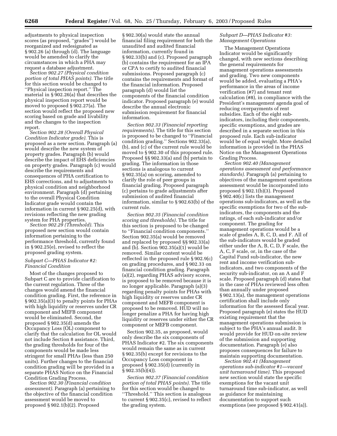adjustments to physical inspection scores (as proposed, ''grades'') would be reorganized and redesignated as § 902.26 (a) through (d). The language would be amended to clarify the circumstances in which a PHA may request a database adjustment.

*Section 902.27 (Physical condition portion of total PHAS points).* The title for this section would be changed to ''Physical inspection report.'' The material in § 902.26(a) that describes the physical inspection report would be moved to proposed § 902.27(a). The section would reflect the proposed new scoring based on grade and livability and the changes to the inspection report.

*Section 902.28 (Overall Physical Condition Indicator grade).* This is proposed as a new section. Paragraph (a) would describe the new system of property grades. Paragraph (b) would describe the impact of EHS deficiencies on property grades. Paragraph (c) would describe the requirements and consequences of PHA certification to EHS corrections, and to adjustments to physical condition and neighborhood environment. Paragraph (d) pertaining to the overall Physical Condition Indicator grade would contain the information in current § 902.25(d), with revisions reflecting the new grading system for PHA properties.

*Section 902.29 (Threshold).* This proposed new section would contain information pertaining to the performance threshold, currently found in § 902.25(e), revised to reflect the proposed grading system.

# *Subpart C—PHAS Indicator #2: Financial Condition*

Most of the changes proposed to Subpart C are to provide clarification to the current regulation. Three of the changes would amend the financial condition grading. First, the reference in § 902.35(a)(3) to penalty points for PHAs with high liquidity or reserves under CR component and MEFB component would be eliminated. Second, the proposed § 902.35(d) amends the Occupancy Loss (OL) component to clarify that the calculation for OL would not include Section 8 assistance. Third, the grading thresholds for four of the components would be made less stringent for small PHAs (less than 250 units). Further changes to the financial condition grading will be provided in a separate PHAS Notice on the Financial Condition Grading Process.

*Section 902.30 (Financial condition assessment).* Paragraph (a) pertaining to the objective of the financial condition assessment would be moved to proposed § 902.1(b)(2). Proposed

§ 902.30(a) would state the annual financial filing requirement for both the unaudited and audited financial information, currently found in § 902.33(b) and (c). Proposed paragraph (b) contains the requirement for an IPA or CPA to certify to audited financial submissions. Proposed paragraph (c) contains the requirements and format of the financial information. Proposed paragraph (d) would list the components of the financial condition indicator. Proposed paragraph (e) would describe the annual electronic submission requirement for financial information.

*Section 902.33 (Financial reporting requirements).* The title for this section is proposed to be changed to ''Financial condition grading.'' Sections 902.33(a), (b), and (c) of the current rule would be moved to § 902.30 of this proposed rule. Proposed §§ 902.33(a) and (b) pertain to grading. The information in those sections is analogous to current § 902.35(a) on scoring, amended to clarify the role of peer groups in financial grading. Proposed paragraph (c) pertains to grade adjustments after submission of audited financial information, similar to § 902.63(b) of the current rule.

*Section 902.35 (Financial condition scoring and thresholds).* The title for this section is proposed to be changed to ''Financial condition components.'' Section 902.35(a) would be removed and replaced by proposed §§ 902.33(a) and (b). Section 902.35(a)(1) would be removed. Similar content would be reflected in the proposed rule § 902.9(c) on grading procedures, and § 902.33 on financial condition grading. Paragraph (a)(2), regarding PHAS advisory scores, is proposed to be removed because it is no longer applicable. Paragraph (a)(3) regarding penalty points for PHAs with high liquidity or reserves under CR component and MEFB component is proposed to be removed. HUD will no longer penalize a PHA for having high liquidity or reserves under either the CR component or MEFB component.

Section 902.35, as proposed, would only describe the six components of PHAS Indicator #2. The six components would remain the same as in current § 902.35(b) except for revisions to the Occupancy Loss component in proposed § 902.35(d) (currently in § 902.35(b)(4)).

*Section 902.37 (Financial condition portion of total PHAS points).* The title for this section would be changed to ''Threshold.'' This section is analogous to current § 902.35(c), revised to reflect the grading system.

# *Subpart D—PHAS Indicator #3: Management Operations*

The Management Operations Indicator would be significantly changed, with new sections describing the general requirements for management operations assessments and grading. Two new components would be added, evaluating a PHA's performance in the areas of income verification (#7) and tenant rent calculation (#8), in compliance with the President's management agenda goal of reducing overpayments of rent subsidies. Each of the eight subindicators, including their components, specific exemptions, and grades are described in a separate section in this proposed rule. Each sub-indicator would be of equal weight. More detailed information is provided in the PHAS Notice on the Management Operations Grading Process.

*Section 902.40 (Management operations assessment and performance standards).* Paragraph (a) pertaining to objectives of the management operations assessment would be incorporated into proposed § 902.1(b)(3). Proposed § 902.40(c) lists the management operations sub-indicators, as well as the specific exemptions for two of the subindicators, the components and the ratings, of each sub-indicator and/or component. The grading for management operations would be a scale of grades A, B, C, D, and F. All of the sub-indicators would be graded either under the A, B, C, D, F scale, the A, C, F scale, or, in the case of the Capital Fund sub-indicator, the new rent and income verification subindicators, and two components of the security sub-indicator, on an A and F scale. Proposed paragraph (d) states that in the case of PHAs reviewed less often than annually under proposed § 902.13(a), the management operations certification shall include only information for the assessed fiscal year. Proposed paragraph (e) states the HUD existing requirement that the management operations submission is subject to the PHA's annual audit. It would provide for HUD on-site review of the submission and supporting documentation. Paragraph (e) also proposes consequences for failure to maintain supporting documentation.

*Section 902.41 (Management operations sub-indicator #1—vacant unit turnaround time).* This proposed new section would state the specific exemptions for the vacant unit turnaround time sub-indicator, as well as guidance for maintaining documentation to support such exemptions (see proposed § 902.41(a)).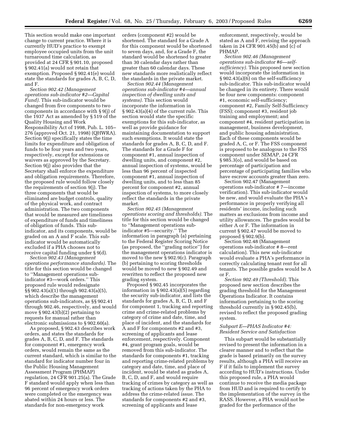This section would make one important change to current practice. Where it is currently HUD's practice to exempt employee occupied units from the unit turnaround time calculation, as provided at 24 CFR § 901.10, proposed § 902.41(a) would not retain that exemption. Proposed § 902.41(e) would state the standards for grades A, B, C, D, and F.

*Section 902.42 (Management operations sub-indicator #2—Capital Fund).* This sub-indicator would be changed from five components to two components in accordance with § 9(j) of the 1937 Act as amended by § 519 of the Quality Housing and Work Responsibility Act of 1998, Pub. L. 105– 276 (approved Oct. 21, 1998) (QHWRA). Section 9(j) specifically states the time limits for expenditure and obligation of funds to be four years and two years, respectively, except for extensions or waivers as approved by the Secretary. Section 9(j) also provides that the Secretary shall enforce the expenditure and obligation requirements. Therefore, the proposed rule would follow closely the requirements of section 9(j). The three components that would be eliminated are budget controls, quality of the physical work, and contract administration. The two components that would be measured are timeliness of expenditure of funds and timeliness of obligation of funds. This subindicator, and its components, would be graded on an A and F scale. This subindicator would be automatically excluded if a PHA chooses not to receive capital funding under § 9(d).

*Section 902.43 (Management operations performance standards).* The title for this section would be changed to ''Management operations subindicator #3—work orders.'' This proposed rule would redesignate §§ 902.43(a)(1) through 902.43(a)(5), which describe the management operations sub-indicators, as §§ 902.41 through 902.46, respectively, and would move § 902.43(b)(2) pertaining to requests for manual rather than electronic submissions to § 902.60(a).

As proposed, § 902.43 describes work orders, and states the standards for grades A, B, C, D, and F. The standards for component #1, emergency work orders, would remain the same as the current standard, which is similar to the standard for indicator number four in the Public Housing Management Assessment Program (PHMAP) regulation, 24 CFR 901.25(a). The Grade F standard would apply when less than 96 percent of emergency work orders were completed or the emergency was abated within 24 hours or less. The standards for non-emergency work

orders (component #2) would be shortened. The standard for a Grade A for this component would be shortened to seven days, and, for a Grade F, the standard would be shortened to greater than 30 calendar days rather than greater than 60 calendar days. These new standards more realistically reflect the standards in the private market.

*Section 902.44 (Management operations sub-indicator #4—annual inspection of dwelling units and systems).* This section would incorporate the information in § 902.43(a)(4) of the current rule. This section would state the specific exemptions for this sub-indicator, as well as provide guidance for maintaining documentation to support such exemptions. It would state the standards for grades A, B, C, D, and F. The standards for a Grade F for component #1, annual inspection of dwelling units, and component #2, annual inspection of systems, would be less than 96 percent of inspected component #1, annual inspection of dwelling units, and to less than 85 percent for component #2, annual inspection of systems, to more closely reflect the standards in the private market.

*Section 902.45 (Management operations scoring and thresholds).* The title for this section would be changed to ''Management operations subindicator #5—security.'' The information in paragraph (a) pertaining to the Federal Register Scoring Notice (as proposed, the ''grading notice'') for the management operations indicator is moved to the new § 902.9(c). Paragraph (b) pertaining to scoring thresholds would be moved to new § 902.49 and rewritten to reflect the proposed new grading system.

Proposed § 902.45 incorporates the information in § 902.43(a)(5) regarding the security sub-indicator, and lists the standards for grades A, B, C, D, and F for component 1, tracking and reporting crime and crime-related problems by category of crime and date, time, and place of incident, and the standards for A and F for components #2 and #3, screening of applicants and lease enforcement, respectively. Component #4, grant program goals, would be removed from this sub-indicator. The standards for components #1, tracking and reporting crime-related problems by category and date, time, and place of incident, would be stated as grades A, B, C, D, and F, and would require tracking of crimes by category as well as tracking of actions taken by the PHA to address the crime-related issue. The standards for components #2 and #3, screening of applicants and lease

enforcement, respectively, would be stated as A and F, revising the approach taken in 24 CFR 901.45(b) and (c) of PHMAP.

*Section 902.46 (Management operations sub-indicator #6—selfsufficiency).* This proposed new section would incorporate the information in § 902.43(a)(6) on the self-sufficiency sub-indicator. This sub-indicator would be changed in its entirety. There would be four new components: component #1, economic self-sufficiency; component #2, Family Self-Sufficiency (FSS); component #3, resident job training and employment; and component #4, resident participation in management, business development, and public housing administration. Each of these components would be graded A, C, or F. The FSS component is proposed to be analogous to the FSS component under SEMAP, 24 CFR § 985.3(o), and would be based on percentage of participation and percentage of participating families who have escrow accounts greater than zero.

Section 902.47 (Management operations sub-indicator # 7—income verification). This sub-indicator would be new, and would evaluate the PHA's performance in properly verifying all residents' income, including such matters as exclusions from income and utility allowances. The grades would be either A or F. The information in current § 902.47 would be moved to proposed § 902.9(b).

Section 902.48 (Management operations sub-indicator # 8—rent calculation). This new sub-indicator would evaluate a PHA's performance in correctly calculating tenant rent for all tenants. The possible grades would be A or F.

*Section 902.49 (Threshold).* This proposed new section describes the grading threshold for the Management Operations Indicator. It contains information pertaining to the scoring threshold currently in § 902.45(b), revised to reflect the proposed grading system.

# *Subpart E—PHAS Indicator #4: Resident Service and Satisfaction*

This subpart would be substantially revised to present the information in a clearer manner and to reflect that the grade is based primarily on the survey results, although a PHA will receive an F if it fails to implement the survey according to HUD's instructions. Under this proposed rule, a PHA would continue to receive the media package from HUD and is required to certify to the implementation of the survey in the RASS. However, a PHA would not be graded for the performance of the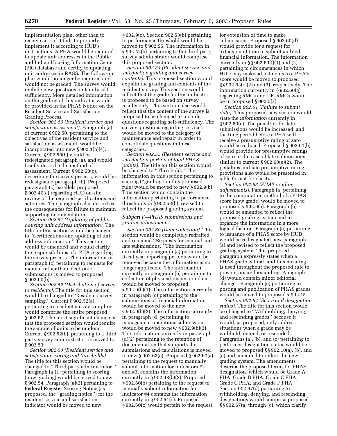implementation plan, other than to receive an F if it fails to properly implement it according to HUD's instructions. A PHA would be required to update unit addresses in the Public and Indian Housing Information Center (PIC) database and certify to updating unit addresses in RASS. The follow-up plan would no longer be required and would not be graded. The survey would include new questions on family selfsufficiency. More detailed information on the grading of this indicator would be provided in the PHAS Notice on the Resident Service and Satisfaction Grading Process.

*Section 902.50 (Resident service and satisfaction assessment).* Paragraph (a) of current § 902.50, pertaining to the objectives of the resident service and satisfaction assessment, would be incorporated into new § 902.1(b)(4). Current § 902.50(b) would be redesignated paragraph (a), and would briefly describe the method of assessment. Current § 902.50(c), describing the survey process, would be redesignated paragraph (b). Proposed paragraph (c) parallels proposed § 902.40(e) regarding HUD on-site review of the required certifications and activities. The paragraph also describes the consequences for failure to maintain supporting documentation.

*Section 902.51 (Updating of public housing unit address information).* The title for this section would be changed to ''Certifications and updating of unit address information.'' This section would be amended and would clarify the responsibilities of a PHA regarding the survey process. The information in paragraph (c) pertaining to requests for manual rather than electronic submissions is moved to proposed § 902.60(b).

*Section 902.52 (Distribution of survey to residents).* The title for this section would be changed to ''Resident survey sampling.'' Current § 902.52(a), pertaining to resident survey sampling, would comprise the entire proposed § 902.52. The most significant change is that the proposed section would require the sample of units to be random. Current § 902.52(b), pertaining to a third party survey administrator, is moved to § 902.53.

*Section 902.53 (Resident service and satisfaction scoring and thresholds).* The title for this section would be changed to ''Third party administrator.'' Paragraph (a)(1) pertaining to scoring (now grading) would be moved to new § 902.54. Paragraph (a)(2) pertaining to **Federal Register** Scoring Notice (as proposed, the ''grading notice'') for the resident service and satisfaction indicator would be moved to new

§ 902.9(c). Section 902.53(b) pertaining to performance threshold would be moved to § 902.55. The information in § 902.52(b) pertaining to the third party survey administrator would comprise this proposed section.

*Section 902.54 (Resident service and satisfaction grading and survey contents).* This proposed section would explain the grading and contents of the resident survey. This section would reflect that the grade for this indicator is proposed to be based on survey results only. This section also would reflect that the content of the survey is proposed to be changed to include questions regarding self-sufficiency. The survey questions regarding services would be moved to the category of maintenance and repair in order to consolidate questions in these categories.

*Section 902.55 (Resident service and satisfaction portion of total PHAS points).* The title for this section would be changed to ''Threshold.'' The information in this section pertaining to scoring (''grading'' in this proposed rule) would be moved to new § 902.9(b). This section would contain the information pertaining to performance thresholds in § 902.53(b), revised to reflect the proposed grading system.

# *Subpart F—PHAS submissions and grading adjustments*

*Section 902.60 (Data collection)*. This section would be completely redrafted and renamed ''Requests for manual and late submissions.'' The information currently in paragraph (a) pertaining to fiscal year reporting periods would be removed because the information is no longer applicable. The information currently in paragraph (b) pertaining to collection of physical inspection data would be moved to proposed § 902.9(b)(1). The information currently in paragraph (c) pertaining to the submissions of financial information would be moved to the new § 902.9(b)(2). The information currently in paragraph (d) pertaining to management operations submissions would be moved to new § 902.9(b)(3). The information currently in paragraph (d)(2) pertaining to the retention of documentation that supports the submissions and calculations is moved to new § 902.63(c). Proposed § 902.60(a), pertaining to the request to manually submit information for Indicators #2 and #3, contains the information currently in § 902.43(b)(2). Proposed § 902.60(b) pertaining to the request to manually submit information for Indicator #4 contains the information currently in § 902.51(c). Proposed § 902.60(c) would pertain to the request

for extension of time to make submissions. Proposed § 902.60(d) would provide for a request for extension of time to submit audited financial information. The information currently in §§ 902.60(f)(1) and (2) pertaining to circumstances in which HUD may make adjustments to a PHA's score would be moved to proposed §§ 902.63(c)(2) and (3), respectively. The information currently in § 902.60(g) regarding RMCs and DF–RMCs would be in proposed § 902.5(a).

*Section 902.61 (Failure to submit data)*. This proposed new section would state the *information* currently in § 902.60(e). The penalties for late submissions would be increased, and the time period before a PHA will receive a presumptive rating of zero would be reduced. Proposed § 902.61(b) would provide for presumptive ratings of zero in the case of late submissions, similar to current § 902.60(e)(2). The penalties and late presumptive rating provisions also would be presented in table format for clarity.

*Section 902.63 (PHAS grading adjustments)*. Paragraph (a) pertaining to the computation method of a PHAS score (now grade) would be moved to proposed § 902.9(a). Paragraph (b) would be amended to reflect the proposed grading system and to organize the information in a more logical fashion. Paragraph (c) pertaining to issuance of a PHAS score by HUD would be redesignated new paragraph (a) and revised to reflect the proposed grading system. This proposed paragraph expressly states when a PHAS grade is final, and this meaning is used throughout the proposed rule to prevent misunderstanding. Paragraph (d) would contain minor editorial changes. Paragraph (e) pertaining to posting and publication of PHAS grades would be moved to proposed § 902.15.

*Section 902.67 (Score and designation status)*. The title for this section would be changed to ''Withholding, denying, and rescinding grades'' because it would, as proposed, only address situations when a grade may be withheld, denied, or rescinded. Paragraphs (a), (b), and (c) pertaining to performer designation status would be moved to proposed §§ 902.10(a), (b), and (c) and amended to reflect the new grading system. The amendments describe the proposed terms for PHAS designation, which would be Grade A PHA, Grade B PHA, Grade C PHA, Grade C PHA, and Grade F PHA. Section 902.67(d) pertaining to withholding, denying, and rescinding designations would comprise proposed §§ 902.67(a) through (c), which clarify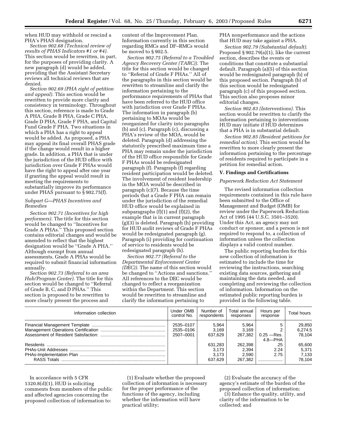when HUD may withhold or rescind a PHA's PHAS designation.

*Section 902.68 (Technical review of results of PHAS Indicators #1 or #4).* This section would be rewritten, in part, for the purposes of providing clarity. A new paragraph (d) would be added, providing that the Assistant Secretary reviews all technical reviews that are denied.

*Section 902.69 (PHA right of petition and appeal).* This section would be rewritten to provide more clarity and consistency in terminology. Throughout this section, reference is made to Grade A PHA, Grade B PHA, Grade C PHA, Grade D PHA, Grade F PHA, and Capital Fund Grade F PHA. Two situations in which a PHA has a right to appeal would be added. As proposed, a PHA may appeal its final overall PHAS grade if the change would result in a higher grade. In addition, a PHA that is under the jurisdiction of the HUD office with jurisdiction over Grade F PHAs would have the right to appeal after one year if granting the appeal would result in meeting the requirements to substantially improve its performance under PHAS pursuant to § 902.75(f).

# *Subpart G—PHAS Incentives and Remedies*

*Section 902.71 (Incentives for high performers).* The title for this section would be changed to ''Incentives for Grade A PHAs.'' This proposed section contains editorial changes and would be amended to reflect that the highest designation would be ''Grade A PHA.'' Although exempt from annual assessments, Grade A PHAs would be required to submit financial information annually.

*Section 902.73 (Referral to an area Hub/Program Center)*. The title for this section would be changed to ''Referral of Grade B, C, and D PHAs." This section is proposed to be rewritten to more clearly present the process and

content of the Improvement Plan. Information currently in this section regarding RMCs and DF–RMCs would be moved to § 902.5.

*Section 902.75 (Referral to a Troubled Agency Recovery Center (TARC))*. The title for this section would be changed to ''Referral of Grade F PHAs.'' All of the paragraphs in this section would be rewritten to streamline and clarify the information pertaining to the performance requirements of PHAs that have been referred to the HUD office with jurisdiction over Grade F PHAs. The information in paragraph (b) pertaining to MOAs would be reorganized for clarity into paragraphs (b) and (c). Paragraph (c), discussing a PHA's review of the MOA, would be deleted. Paragraph (d) addressing the statutorily prescribed maximum time a PHA may remain under the jurisdiction of the HUD office responsible for Grade F PHAs would be redesignated paragraph (f). Paragraph (f) regarding resident participation would be deleted. The involvement of resident leadership in the MOA would be described in paragraph (c)(7). Because the time periods that a Grade F PHA can remain under the jurisdiction of the remedial HUD office would be explained in subparagraphs  $(f)(1)$  and  $(f)(2)$ , the example that is in current paragraph (g)(3) is deleted. Paragraph (h) providing for HUD audit reviews of Grade F PHAs would be redesignated paragraph (g). Paragraph (i) providing for continuation of service to residents would be redesignated paragraph (h).

*Section 902.77 (Referral to the Departmental Enforcement Center (DEC))*. The name of this section would be changed to ''Actions and sanctions.'' All references to the DEC would be changed to reflect a reorganization within the Department. This section would be rewritten to streamline and clarify the information pertaining to

PHA nonperformance and the actions that HUD may take against a PHA.

*Section 902.79 (Substantial default).* Proposed § 902.79(a)(1), like the current section, describes the events or conditions that constitute a substantial default. Paragraph (a)(5) of this section would be redesignated paragraph (b) of this proposed section. Paragraph (b) of this section would be redesignated paragraph (c) of this proposed section. This section also proposes minor editorial changes.

*Section 902.83 (Interventions).* This section would be rewritten to clarify the information pertaining to interventions HUD may initiate if HUD determines that a PHA is in substantial default.

*Section 902.85 (Resident petitions for remedial action).* This section would be rewritten to more clearly present the information pertaining to the percentage of residents required to participate in a petition for remedial action.

# **V. Findings and Certifications**

# *Paperwork Reduction Act Statement*

The revised information collection requirements contained in this rule have been submitted to the Office of Management and Budget (OMB) for review under the Paperwork Reduction Act of 1995 (44 U.S.C. 3501–3520). Under this Act, an agency may not conduct or sponsor, and a person is not required to respond to, a collection of information unless the collection displays a valid control number.

The public reporting burden for this new collection of information is estimated to include the time for reviewing the instructions, searching existing data sources, gathering and maintaining the data needed, and completing and reviewing the collection of information. Information on the estimated public reporting burden is provided in the following table.

| Information collection | Under OMB<br>control No.            | Number of<br>respondents             | Total annual<br>responses            | Hours per<br>response        | Total hours                        |
|------------------------|-------------------------------------|--------------------------------------|--------------------------------------|------------------------------|------------------------------------|
|                        | 2535-0107<br>2535-0106<br>2507-0001 | 5.964<br>3.169<br>637.629            | 5.964<br>3.169<br>267.382            | $0.25 - Res.$<br>$4.8 - PHA$ | 29,850<br>6.274.5<br>78.104        |
|                        |                                     | 631.283<br>3.173<br>3.173<br>637.629 | 262.398<br>2.394<br>2.590<br>267.382 | .25<br>2.24<br>2.75          | 65,600<br>5.371<br>7,133<br>78.104 |

In accordance with 5 CFR 1320.8(d)(1), HUD is soliciting comments from members of the public and affected agencies concerning the proposed collection of information to:

(1) Evaluate whether the proposed collection of information is necessary for the proper performance of the functions of the agency, including whether the information will have practical utility;

(2) Evaluate the accuracy of the agency's estimate of the burden of the proposed collection of information;

(3) Enhance the quality, utility, and clarity of the information to be collected; and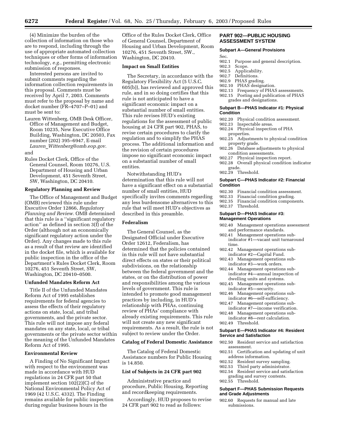(4) Minimize the burden of the collection of information on those who are to respond, including through the use of appropriate automated collection techniques or other forms of information technology, *e.g.*, permitting electronic submission of responses.

Interested persons are invited to submit comments regarding the information collection requirements in this proposal. Comments must be received by April 7, 2003. Comments must refer to the proposal by name and docket number (FR–4707–P–01) and must be sent to:

Lauren Wittenberg, OMB Desk Officer, Office of Management and Budget, Room 10235, New Executive Office Building, Washington, DC 20503, Fax number (202) 395–6947, E-mail *Lauren*\_*Wittenberg@omb.eop.gov.*

and

Rules Docket Clerk, Office of the General Counsel, Room 10276, U.S. Department of Housing and Urban Development, 451 Seventh Street, SW, Washington, DC 20410.

#### **Regulatory Planning and Review**

The Office of Management and Budget (OMB) reviewed this rule under Executive Order 12866, *Regulatory Planning and Review.* OMB determined that this rule is a ''significant regulatory action'' as defined in section 3(f) of the Order (although not an economically significant regulatory action under the Order). Any changes made to this rule as a result of that review are identified in the docket file, which is available for public inspection in the office of the Department's Rules Docket Clerk, Room 10276, 451 Seventh Street, SW, Washington, DC 20410–0500.

#### **Unfunded Mandates Reform Act**

Title II of the Unfunded Mandates Reform Act of 1995 establishes requirements for federal agencies to assess the effects of their regulatory actions on state, local, and tribal governments, and the private sector. This rule will not impose any federal mandates on any state, local, or tribal governments or the private sector within the meaning of the Unfunded Mandates Reform Act of 1995.

# **Environmental Review**

A Finding of No Significant Impact with respect to the environment was made in accordance with HUD regulations in 24 CFR part 50 that implement section 102(2)(C) of the National Environmental Policy Act of 1969 (42 U.S.C. 4332). The Finding remains available for public inspection during regular business hours in the

Office of the Rules Docket Clerk, Office of General Counsel, Department of Housing and Urban Development, Room 10276, 451 Seventh Street, SW., Washington, DC 20410.

#### **Impact on Small Entities**

The Secretary, in accordance with the Regulatory Flexibility Act (5 U.S.C. 605(b)), has reviewed and approved this rule, and in so doing certifies that this rule is not anticipated to have a significant economic impact on a substantial number of small entities. This rule revises HUD's existing regulations for the assessment of public housing at 24 CFR part 902, PHAS, to revise certain procedures to clarify the regulation and to simplify the PHAS process. The additional information and the revision of certain procedures impose no significant economic impact on a substantial number of small entities.

Notwithstanding HUD's determination that this rule will not have a significant effect on a substantial number of small entities, HUD specifically invites comments regarding any less burdensome alternatives to this rule that will meet HUD's objectives as described in this preamble.

# **Federalism**

The General Counsel, as the Designated Official under Executive Order 12612, Federalism, has determined that the policies contained in this rule will not have substantial direct effects on states or their political subdivisions, on the relationship between the federal government and the states, or on the distribution of power and responsibilities among the various levels of government. This rule is intended to promote good management practices by including, in HUD's relationship with PHAs, continuing review of PHAs' compliance with already existing requirements. This rule will not create any new significant requirements. As a result, the rule is not subject to review under the Order.

#### **Catalog of Federal Domestic Assistance**

The Catalog of Federal Domestic Assistance numbers for Public Housing is 14.850.

#### **List of Subjects in 24 CFR part 902**

Administrative practice and procedure, Public Housing, Reporting and recordkeeping requirements.

Accordingly, HUD proposes to revise 24 CFR part 902 to read as follows:

# **PART 902—PUBLIC HOUSING ASSESSMENT SYSTEM**

#### **Subpart A—General Provisions**

- Sec.
- 902.1 Purpose and general description.<br>902.3 Scope.
- Scope.
- 902.5 Applicability.
- 902.7 Definitions.<br>902.9 PHAS gradi
- PHAS grading.
- 902.10 PHAS designation.<br>902.13 Frequency of PHAS
- 902.13 Frequency of PHAS assessments.<br>902.15 Posting and publication of PHAS Posting and publication of PHAS
- grades and designations.

#### **Subpart B—PHAS Indicator #1: Physical Condition**

- 902.20 Physical condition assessment.
- 902.23 Inspectable areas.
- 902.24 Physical inspection of PHA properties.
- 902.25 Adjustments to physical condition property grade.
- 902.26 Database adjustments to physical condition assessments.
- 902.27 Physical inspection report.
- 902.28 Overall physical condition indicator grade.
- 902.29 Threshold.

# **Subpart C—PHAS Indicator #2: Financial Condition**

- 
- 902.30 Financial condition assessment.<br>902.33 Financial condition grading. Financial condition grading.
- 902.35 Financial condition components.
- 902.37 Threshold.

#### **Subpart D—PHAS Indicator #3: Management Operations**

- 902.40 Management operations assessment and performance standards.<br>902.41 Management operations
- Management operations subindicator #1—vacant unit turnaround time.
- 902.42 Management operations subindicator #2—Capital Fund.
- 902.43 Management operations subindicator #3—work orders.
- 902.44 Management operations subindicator #4—annual inspection of dwelling units and systems.
- 902.45 Management operations subindicator #5—security.
- 902.46 Management operations subindicator #6—self-sufficiency.
- 902.47 Management operations subindicator #7—income verification.
- 902.48 Management operations subindicator #8—rent calculation.
- 902.49 Threshold.

# **Subpart E—PHAS Indicator #4: Resident Service and Satisfaction**

- 902.50 Resident service and satisfaction assessment.
- 902.51 Certification and updating of unit address information.
- 902.52 Resident survey sampling.<br>902.53 Third party administrator.
- 902.53 Third party administrator.<br>902.54 Resident service and satisf
- Resident service and satisfaction grading and survey contents. 902.55 Threshold.
- 

#### **Subpart F—PHAS Submission Requests and Grade Adjustments**

902.60 Requests for manual and late submissions.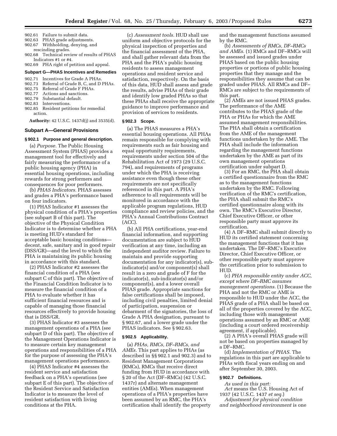- 902.61 Failure to submit data.
- 902.63 PHAS grade adjustments.
- 902.67 Withholding, denying, and rescinding grades.
- 902.68 Technical review of results of PHAS Indicators #1 or #4.
- 902.69 PHA right of petition and appeal.

#### **Subpart G—PHAS Incentives and Remedies**

- 902.71 Incentives for Grade A PHAs.
- 902.73 Referral of Grade B, C, and D PHAs.
- 902.75 Referral of Grade F PHAs.
- 902.77 Actions and sanctions.<br>902.79 Substantial default.
- Substantial default.
- 902.83 Interventions.
- 902.85 Resident petitions for remedial action.

**Authority:** 42 U.S.C. 1437d(j) and 3535(d).

#### **Subpart A—General Provisions**

#### **§ 902.1 Purpose and general description.**

(a) *Purpose.* The Public Housing Assessment System (PHAS) provides a management tool for effectively and fairly measuring the performance of a public housing agency (PHA) in essential housing operations, including rewards for strong performers and consequences for poor performers.

(b) *PHAS Indicators.* PHAS assesses and grades a PHA's performance based on four indicators.

(1) PHAS Indicator #1 assesses the physical condition of a PHA's properties (see subpart B of this part). The objective of the Physical Condition Indicator is to determine whether a PHA is meeting HUD's standard for acceptable basic housing conditions decent, safe, sanitary and in good repair (DSS/GR)—and the level to which the PHA is maintaining its public housing in accordance with this standard.

(2) PHAS Indicator #2 assesses the financial condition of a PHA (see subpart C of this part). The objective of the Financial Condition Indicator is to measure the financial condition of a PHA to evaluate whether it has sufficient financial resources and is capable of managing those financial resources effectively to provide housing that is DSS/GR.

(3) PHAS Indicator #3 assesses the management operations of a PHA (see subpart D of this part). The objective of the Management Operations Indicator is to measure certain key management operations and responsibilities of a PHA for the purpose of assessing the PHA's management operations performance.

(4) PHAS Indicator #4 assesses the resident service and satisfaction feedback on a PHA's operations (see subpart E of this part). The objective of the Resident Service and Satisfaction Indicator is to measure the level of resident satisfaction with living conditions at the PHA.

(c) *Assessment tools.* HUD shall use uniform and objective protocols for the physical inspection of properties and the financial assessment of the PHA, and shall gather relevant data from the PHA and the PHA's public housing residents to assess management operations and resident service and satisfaction, respectively. On the basis of this data, HUD shall assess and grade the results, advise PHAs of their grade and identify low graded PHAs so that these PHAs shall receive the appropriate guidance to improve performance and provision of services to residents.

# **§ 902.3 Scope.**

(a) The PHAS measures a PHA's essential housing operations. All PHAs remain responsible for complying with requirements such as fair housing and equal opportunity requirements, requirements under section 504 of the Rehabilitation Act of 1973 (29 U.S.C. 794), and requirements of programs under which the PHA is receiving assistance even though these other requirements are not specifically referenced in this part. A PHA's adherence to all requirements will be monitored in accordance with the applicable program regulations, HUD compliance and review policies, and the PHA's Annual Contributions Contract (ACC).

(b) All PHA certifications, year-end financial information, and supporting documentation are subject to HUD verification at any time, including an independent auditor review. Failure to maintain and provide supporting documentation for any indicator(s), subindicator(s) and/or component(s) shall result in a zero and grade of F for the indicator(s), sub-indicator(s) and/or component(s), and a lower overall PHAS grade. Appropriate sanctions for false certifications shall be imposed, including civil penalties, limited denial of participation, suspension or debarment of the signatories, the loss of Grade A PHA designation, pursuant to § 902.67, and a lower grade under the PHAS indicators. See § 902.63.

#### **§ 902.5 Applicability.**

(a) *PHAs, RMCs, DF–RMCs, and AMEs.* This part applies to PHAs (as described in §§ 902.1 and 902.3) and to Resident Management Corporations (RMCs), RMCs that receive direct funding from HUD in accordance with § 20 of the Act (DF–RMCs) (42 U.S.C. 1437r) and alternate management entities (AMEs). When management operations of a PHA's properties have been assumed by an RMC, the PHA's certification shall identify the property

and the management functions assumed by the RMC.

(b) *Assessments of RMCs, DF–RMCs and AMEs.* (1) RMCs and DF–RMCs will be assessed and issued grades under PHAS based on the public housing properties or portions of public housing properties that they manage and the responsibilities they assume that can be graded under PHAS. All RMCs and DF– RMCs are subject to the requirements of this part.

(2) AMEs are not issued PHAS grades. The performance of the AME contributes to the PHAS grade of the PHA or PHAs for which the AME assumed management responsibilities. The PHA shall obtain a certification from the AME of the management functions undertaken by the AME. The PHA shall include the information regarding the management functions undertaken by the AME as part of its own management operations certification under subpart D.

(3) For an RMC, the PHA shall obtain a certified questionnaire from the RMC as to the management functions undertaken by the RMC. Following verification of the RMC's certification, the PHA shall submit the RMC's certified questionnaire along with its own. The RMC's Executive Director, Chief Executive Officer, or other responsible party must approve its certification.

(4) A DF–RMC shall submit directly to HUD its certified statement concerning the management functions that it has undertaken. The DF–RMC's Executive Director, Chief Executive Officer, or other responsible party must approve the certification prior to submission to HUD.

(c) *PHA responsible entity under ACC, except where DF–RMC assumes management operations.* (1) Because the PHA and not the RMC or AME is responsible to HUD under the ACC, the PHAS grade of a PHA shall be based on all of the properties covered by the ACC, including those with management operations assumed by an RMC or AME (including a court ordered receivership agreement, if applicable).

(2) A PHA's overall PHAS grade will not be based on properties managed by a DF–RMC.

(d) *Implementation of PHAS.* The regulations in this part are applicable to PHAs with fiscal years ending on and after September 30, 2003.

#### **§ 902.7 Definitions.**

*As used in this part:*

*Act* means the U.S. Housing Act of 1937 (42 U.S.C. 1437 *et seq.*)

*Adjustment for physical condition and neighborhood environment* is one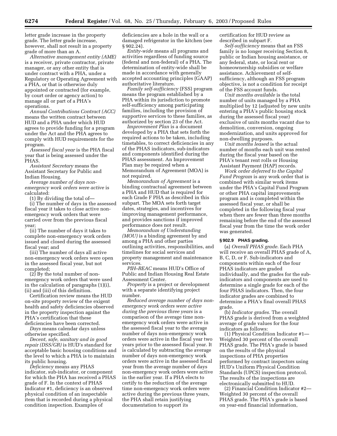letter grade increase in the property grade. The letter grade increase, however, shall not result in a property grade of more than an A.

*Alternative management entity (AME)* is a receiver, private contractor, private manager, or any other entity that is under contract with a PHA, under a Regulatory or Operating Agreement with a PHA, or that is otherwise duly appointed or contracted (for example, by court order or agency action) to manage all or part of a PHA's operations.

*Annual Contributions Contract (ACC)* means the written contract between HUD and a PHA under which HUD agrees to provide funding for a program under the Act and the PHA agrees to comply with HUD requirements for the program.

*Assessed fiscal year* is the PHA fiscal year that is being assessed under the PHAS.

*Assistant Secretary* means the Assistant Secretary for Public and Indian Housing.

*Average number of days nonemergency work orders were active* is calculated:

(1) By dividing the total of—

(i) The number of days in the assessed fiscal year it takes to close active nonemergency work orders that were carried over from the previous fiscal year;

(ii) The number of days it takes to complete non-emergency work orders issued and closed during the assessed fiscal year; and

(iii) The number of days all active non-emergency work orders were open in the assessed fiscal year, but not completed;

(2) By the total number of nonemergency work orders that were used in the calculation of paragraphs (1)(i), (ii) and (iii) of this definition.

Certification review means the HUD on-site property review of the exigent health and safety deficiencies observed in the property inspection against the PHA's certification that these deficiencies have been corrected.

*Days* means calendar days unless otherwise specified.

*Decent, safe, sanitary and in good repair (DSS/GR)* is HUD's standard for acceptable basic housing conditions and the level to which a PHA is to maintain its public housing.

*Deficiency* means any PHAS indicator, sub-indicator, or component for which the PHA has received a PHAS grade of F. In the context of PHAS Indicator #1, deficiency is an observed physical condition of an inspectable item that is recorded during a physical condition inspection. Examples of

deficiencies are a hole in the wall or a damaged refrigerator in the kitchen (see § 902.24).

*Entity-wide* means all programs and activities regardless of funding source (federal and non-federal) of a PHA. The determination of entity-wide shall be made in accordance with generally accepted accounting principles (GAAP) authoritative literature.

*Family self-sufficiency* (FSS) program means the program established by a PHA within its jurisdiction to promote self-sufficiency among participating families, including the provision of supportive services to these families, as authorized by section 23 of the Act.

*Improvement Plan* is a document developed by a PHA that sets forth the required actions to be taken, including timetables, to correct deficiencies in any of the PHAS indicators, sub-indicators and components identified during the PHAS assessment. An Improvement Plan may be required when a Memorandum of Agreement (MOA) is not required.

*Memorandum of Agreement* is a binding contractual agreement between a PHA and HUD that is required for each Grade F PHA as described in this subpart. The MOA sets forth target dates, strategies, and incentives for improving management performance, and provides sanctions if improved performance does not result.

*Memorandum of Understanding (MOU)* is a binding agreement by and among a PHA and other parties outlining activities, responsibilities, and timelines for social services and property management and maintenance services.

*PIH–REAC* means HUD's Office of Public and Indian Housing Real Estate Assessment Center.

*Property* is a project or development with a separate identifying project number.

*Reduced average number of days nonemergency work orders were active during the previous three years* is a comparison of the average time nonemergency work orders were active in the assessed fiscal year to the average number of days non-emergency work orders were active in the fiscal year two years prior to the assessed fiscal year. It is calculated by subtracting the average number of days non-emergency work orders were active in the assessed fiscal year from the average number of days non-emergency work orders were active in the earlier year. If a PHA elects to certify to the reduction of the average time non-emergency work orders were active during the previous three years, the PHA shall retain justifying documentation to support its

certification for HUD review as described in subpart F.

*Self-sufficiency* means that an FSS family is no longer receiving Section 8, public or Indian housing assistance, or any federal, state, or local rent or homeownership subsidies or welfare assistance. Achievement of selfsufficiency, although an FSS program objective, is not a condition for receipt of the FSS account funds.

*Unit months available* is the total number of units managed by a PHA multiplied by 12 (adjusted by new units entering a PHA's public housing stock during the assessed fiscal year) exclusive of units months vacant due to demolition, conversion, ongoing modernization, and units approved for non-dwelling purposes.

*Unit months leased* is the actual number of months each unit was rented during the fiscal year based on the PHA's tenant rent rolls or Housing Assistant Payment (HAP) records.

*Work order deferred to the Capital Fund Program* is any work order that is combined with similar work items under the PHA's Capital Fund Program or other PHA capital improvements program and is completed within the assessed fiscal year, or shall be completed in the following fiscal year when there are fewer than three months remaining before the end of the assessed fiscal year from the time the work order was generated.

# **§ 902.9 PHAS grading.**

(a) *Overall PHAS grade.* Each PHA will receive an overall PHAS grade of A, B, C, D, or F. Sub-indicators and components within each of the four PHAS indicators are graded individually, and the grades for the subindicators and components are used to determine a single grade for each of the four PHAS indicators. Then, the four indicator grades are combined to determine a PHA's final overall PHAS grade.

(b) *Indicator grades.* The overall PHAS grade is derived from a weighted average of grade values for the four indicators as follows:

(1) Physical Condition Indicator #1— Weighted 30 percent of the overall PHAS grade. The PHA's grade is based on the results of the physical inspections of PHA properties performed by contract inspectors using HUD's Uniform Physical Condition Standards (UPCS) inspection protocol. The results of the inspections are electronically submitted to HUD.

(2) Financial Condition Indicator #2— Weighted 30 percent of the overall PHAS grade. The PHA's grade is based on year-end financial information,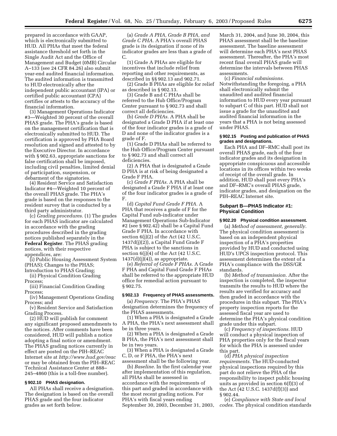prepared in accordance with GAAP, which is electronically submitted to HUD. All PHAs that meet the federal assistance threshold set forth in the Single Audit Act and the Office of Management and Budget (0MB) Circular A–133 (see 24 CFR 84.26) also submit year-end audited financial information. The audited information is transmitted to HUD electronically after the independent public accountant (IPA) or certified public accountant (CPA) certifies or attests to the accuracy of the financial information.

(3) Management Operations Indicator #3—Weighted 30 percent of the overall PHAS grade. The PHA's grade is based on the management certification that is electronically submitted to HUD. The certification is approved by PHA Board resolution and signed and attested to by the Executive Director. In accordance with § 902.63, appropriate sanctions for false certification shall be imposed, including civil penalties, limited denial of participation, suspension, or debarment of the signatories.

(4) Resident Service and Satisfaction Indicator #4—Weighted 10 percent of the overall PHAS grade. The PHA's grade is based on the responses to the resident survey that is conducted by a third party administrator.

(c) *Grading procedures.* (1) The grades for each PHAS indicator are calculated in accordance with the grading procedures described in the grading notices published separately in the **Federal Register**. The PHAS grading notices, with their respective appendices, are:

(i) Public Housing Assessment System (PHAS); Changes to the PHAS;

Introduction to PHAS Grading;

(ii) Physical Condition Grading Process;

(iii) Financial Condition Grading Process;

(iv) Management Operations Grading Process; and

(v) Resident Service and Satisfaction Grading Process.

(2) HUD will publish for comment any significant proposed amendments to the notices. After comments have been considered, HUD will publish a notice adopting a final notice or amendment. The PHAS grading notices currently in effect are posted on the PIH–REAC Internet site at *http://www.hud.gov/reac* or may be obtained from the PIH–REAC Technical Assistance Center at 888– 245–4860 (this is a toll-free number).

# **§ 902.10 PHAS designation.**

All PHAs shall receive a designation. The designation is based on the overall PHAS grade and the four indicator grades as set forth below.

(a) *Grade A PHA, Grade B PHA, and Grade C PHA.* A PHA's overall PHAS grade is its designation if none of its indicator grades are less than a grade of C.

(1) Grade A PHAs are eligible for incentives that include relief from reporting and other requirements, as described in §§ 902.13 and 902.71.

(2) Grade B PHAs are eligible for relief as described in § 902.13.

(3) Grade B and C PHAs shall be referred to the Hub Office/Program Center pursuant to § 902.73 and shall correct all deficiencies.

(b) *Grade D PHAs.* A PHA shall be designated a Grade D PHA if at least one of the four indicator grades is a grade of D and none of the indicator grades is a grade of F.

(1) Grade D PHAs shall be referred to the Hub Office/Program Center pursuant to § 902.73 and shall correct all deficiencies.

(2) A PHA that is designated a Grade D PHA is at risk of being designated a Grade F PHA.

(c) *Grade F PHAs.* A PHA shall be designated a Grade F PHA if at least one of the four indicator grades is a grade of F.

(d) *Capital Fund Grade F PHA.* A PHA that receives a grade of F for the Capital Fund sub-indicator under Management Operations Sub-Indicator #2 (see § 902.42) shall be a Capital Fund Grade F PHA. In accordance with section 6(j)(2) of the Act (42 U.S.C. 1437d(j)(2)), a Capital Fund Grade F PHA is subject to the sanctions in section  $6(j)(4)$  of the Act (42 U.S.C.  $1437(d)(j)(4)$ , as appropriate.

(e) *Referral of Grade F PHAs.* A Grade F PHA and Capital Fund Grade F PHAs shall be referred to the appropriate HUD office for remedial action pursuant to § 902.75.

#### **§ 902.13 Frequency of PHAS assessments.**

(a) *Frequency.* The PHA's PHAS designation determines the frequency of the PHAS assessments.

(1) When a PHA is designated a Grade A PHA, the PHA's next assessment shall be in three years.

(2) When a PHA is designated a Grade B PHA, the PHA's next assessment shall be in two years.

(3) When a PHA is designated a Grade C, D, or F PHA, the PHA's next assessment shall be the following year.

(b) *Baseline.* In the first calendar year after implementation of this regulation, all PHAs shall be assessed in accordance with the requirements of this part and graded in accordance with the most recent grading notices. For PHA's with fiscal years ending September 30, 2003, December 31, 2003, March 31, 2004, and June 30, 2004, this PHAS assessment shall be the baseline assessment. The baseline assessment will determine each PHA's next PHAS assessment. Thereafter, the PHA's most recent final overall PHAS grade will determine the intervals between PHAS assessments.

(c) *Financial submissions.* Notwithstanding the foregoing, a PHA shall electronically submit the unaudited and audited financial information to HUD every year pursuant to subpart C of this part. HUD shall not issue a grade for the unaudited and audited financial information in the years that a PHA is not being assessed under PHAS.

#### **§ 902.15 Posting and publication of PHAS grades and designations.**

Each PHA and DF–RMC shall post its overall PHAS grade, each of the four indicator grades and its designation in appropriate conspicuous and accessible locations in its offices within two weeks of receipt of the overall grade. In addition, HUD shall post every PHA's and DF–RMC's overall PHAS grade, indicator grades, and designation on the PIH–REAC Internet site.

#### **Subpart B—PHAS Indicator #1: Physical Condition**

#### **§ 902.20 Physical condition assessment.**

(a) *Method of assessment, generally.* The physical condition assessment is based on an independent physical inspection of a PHA's properties provided by HUD and conducted using HUD's UPCS inspection protocol. This assessment determines the extent of a PHA's compliance with the DSS/GR standards.

(b) *Method of transmission.* After the inspection is completed, the inspector transmits the results to HUD where the results are verified for accuracy and then graded in accordance with the procedures in this subpart. The PHA's property inspection reports for the assessed fiscal year are used to determine the PHA's physical condition grade under this subpart.

(c) *Frequency of inspections.* HUD will conduct a physical inspection of PHA properties only for the fiscal years for which the PHA is assessed under this part.

(d) *PHA physical inspection requirements.* The HUD-conducted physical inspections required by this part do not relieve the PHA of the responsibility to inspect public housing units as provided in section 6(f)(3) of the Act (42 U.S.C. 1437d(f)(3)) and § 902.44.

(e) *Compliance with State and local codes.* The physical condition standards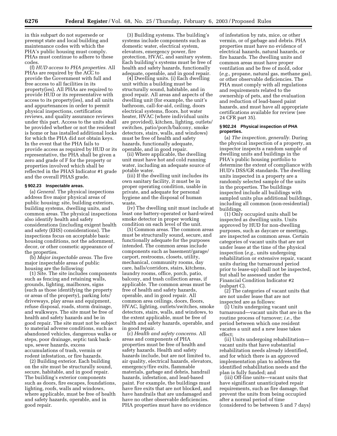in this subpart do not supersede or preempt state and local building and maintenance codes with which the PHA's public housing must comply. PHAs must continue to adhere to these codes.

(f) *HUD access to PHA properties.* All PHAs are required by the ACC to provide the Government with full and free access to all facilities in its property(ies). All PHAs are required to provide HUD or its representative with access to its property(ies), and all units and appurtenances in order to permit physical inspections, certification reviews, and quality assurance reviews under this part. Access to the units shall be provided whether or not the resident is home or has installed additional locks for which the PHA did not obtain keys. In the event that the PHA fails to provide access as required by HUD or its representative, the PHA shall be given a zero and grade of F for the property or properties involved which shall be reflected in the PHAS Indicator #1 grade and the overall PHAS grade.

#### **§ 902.23 Inspectable areas.**

(a) *General.* The physical inspections address five major physical areas of public housing: site, building exteriors, building systems, dwelling units, and common areas. The physical inspections also identify health and safety considerations (including exigent health and safety (EHS) considerations). The inspections focus on acceptable basic housing conditions, not the adornment, decor, or other cosmetic appearance of the properties.

(b) *Major inspectable areas.* The five major inspectable areas of public housing are the following:

(1) Site. The site includes components such as fencing and retaining walls, grounds, lighting, mailboxes, signs (such as those identifying the property or areas of the property), parking lots/ driveways, play areas and equipment, refuse disposal, roads, storm drainage, and walkways. The site must be free of health and safety hazards and be in good repair. The site must not be subject to material adverse conditions, such as abandoned vehicles, dangerous walks or steps, poor drainage, septic tank backups, sewer hazards, excess accumulations of trash, vermin or rodent infestation, or fire hazards.

(2) Building exterior. Each building on the site must be structurally sound, secure, habitable, and in good repair. The building's exterior components such as doors, fire escapes, foundations, lighting, roofs, walls and windows, where applicable, must be free of health and safety hazards, operable, and in good repair.

(3) Building systems. The building's systems include components such as domestic water, electrical system, elevators, emergency power, fire protection, HVAC, and sanitary system. Each building's systems must be free of health and safety hazards, functionally adequate, operable, and in good repair.

(4) Dwelling units. (i) Each dwelling unit within a building must be structurally sound, habitable, and in good repair. All areas and aspects of the dwelling unit (for example, the unit's bathroom, call-for-aid, ceiling, doors electrical systems, floors, hot water heater, HVAC (where individual units are provided), kitchen, lighting, outlets/ switches, patio/porch/balcony, smoke detectors, stairs, walls, and windows) must be free of health and safety hazards, functionally adequate, operable, and in good repair.

(ii) Where applicable, the dwelling unit must have hot and cold running water, including an adequate source of potable water.

(iii) If the dwelling unit includes its own sanitary facility, it must be in proper operating condition, usable in private, and adequate for personal hygiene and the disposal of human waste.

(iv) The dwelling unit must include at least one battery-operated or hard-wired smoke detector in proper working condition on each level of the unit.

(5) Common areas. The common areas must be structurally sound, secure, and functionally adequate for the purposes intended. The common areas include components such as basement/garage/ carport, restrooms, closets, utility, mechanical, community rooms, day care, halls/corridors, stairs, kitchens, laundry rooms, office, porch, patio, balcony, and trash collection areas, if applicable. The common areas must be free of health and safety hazards, operable, and in good repair. All common area ceilings, doors, floors, HVAC, lighting, outlets/switches, smoke detectors, stairs, walls, and windows, to the extent applicable, must be free of health and safety hazards, operable, and in good repair.

(c) *Health and safety concerns.* All areas and components of PHA properties must be free of health and safety hazards. Health and safety hazards include, but are not limited to, air quality, electrical hazards, elevators, emergency/fire exits, flammable materials, garbage and debris, handrail hazards, infestation, and lead-based paint. For example, the buildings must have fire exits that are not blocked, and have handrails that are undamaged and have no other observable deficiencies. PHA properties must have no evidence

of infestation by rats, mice, or other vermin, or of garbage and debris. PHA properties must have no evidence of electrical hazards, natural hazards, or fire hazards. The dwelling units and common areas must have proper ventilation and be free of mold, odor (*e.g.*, propane, natural gas, methane gas), or other observable deficiencies. The PHA must comply with all regulations and requirements related to the ownership of pets, and the evaluation and reduction of lead-based paint hazards, and must have all appropriate certifications available for review (see 24 CFR part 35).

#### **§ 902.24 Physical inspection of PHA properties.**

(a) *The inspection, generally.* During the physical inspection of a property, an inspector inspects a random sample of dwelling units and buildings in the PHA's public housing portfolio to determine the extent of compliance with HUD's DSS/GR standards. The dwelling units inspected in a property are a randomly selected sample of the units in the properties. The buildings inspected include all buildings with sampled units plus additional buildings, including all common (non-residential) buildings.

(1) Only occupied units shall be inspected as dwelling units. Units approved by HUD for non-dwelling purposes, such as daycare or meetings, are inspected as common areas. Certain categories of vacant units that are not under lease at the time of the physical inspection (*e.g.*, units undergoing rehabilitation or extensive repair, vacant units during the turnaround period prior to lease-up) shall not be inspected, but shall be assessed under the Financial Condition Indicator #2 (subpart C).

(2) The categories of vacant units that are not under lease that are not inspected are as follows:

(i) Units undergoing vacant unit turnaround—vacant units that are in the routine process of turnover; *i.e.*, the period between which one resident vacates a unit and a new lease takes effect;

(ii) Units undergoing rehabilitation vacant units that have substantial rehabilitation needs already identified, and for which there is an approved implementation plan to address the identified rehabilitation needs and the plan is fully funded; and

(iii) Off-line units—vacant units that have significant unanticipated repair requirements, such as fire damage, that prevent the units from being occupied after a normal period of time (considered to be between 5 and 7 days)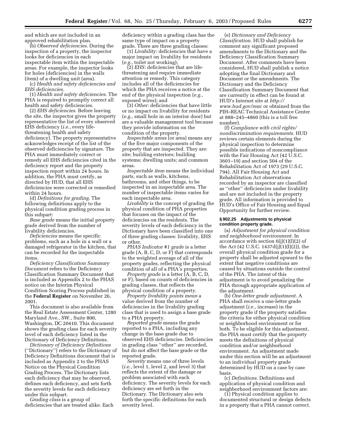and which are not included in an approved rehabilitation plan.

(b) *Observed deficiencies.* During the inspection of a property, the inspector looks for deficiencies in each inspectable item within the inspectable areas. For example, the inspector looks for holes (deficiencies) in the walls (item) of a dwelling unit (area).

(c) *Health and safety deficiencies and EHS deficiencies.*

(1) *Health and safety deficiencies.* The PHA is required to promptly correct all health and safety deficiencies.

(2) *EHS deficiencies.* Before leaving the site, the inspector gives the property representative the list of every observed EHS deficiency (*i.e.*, every lifethreatening health and safety deficiency). The property representative acknowledges receipt of the list of the observed deficiencies by signature. The PHA must immediately correct or remedy all EHS deficiencies cited in the deficiency report and the property inspection report within 24 hours. In addition, the PHA must certify, as directed by HUD, that all EHS deficiencies were corrected or remedied within 24 hours.

(d) *Definitions for grading.* The following definitions apply to the physical condition grading process in this subpart:

*Base grade* means the initial property grade derived from the number of livability deficiencies.

*Deficiencies* means the specific problems, such as a hole in a wall or a damaged refrigerator in the kitchen, that can be recorded for the inspectable items.

*Deficiency Classification Summary Document* refers to the Deficiency Classification Summary Document that is included as Appendix 2 to the PHAS notice on the Interim Physical Condition Scoring Process published in the **Federal Register** on November 26, 2001.

This document is also available from the Real Estate Assessment Center, 1280 Maryland Ave., SW., Suite 800, Washington, DC 20410. This document shows the grading class for each severity level of each deficiency listed in the Dictionary of Deficiency Definitions.

*Dictionary of Deficiency Definitions* (''Dictionary'') refers to the Dictionary of Deficiency Definitions document that is included as Appendix 2 to the PHAS Notice on the Physical Condition Grading Process. The Dictionary lists each deficiency that may be observed, defines each deficiency, and sets forth the severity levels for each deficiency under this subpart.

*Grading class* is a group of deficiencies that are treated alike. Each

deficiency within a grading class has the same type of impact on a property grade. There are three grading classes:

(1) *Livability:* deficiencies that have a major impact on livability for residents (*e.g.*, toilet not working);

(2) *EHS:* deficiencies that are lifethreatening and require immediate attention or remedy. This category includes all of the deficiencies for which the PHA receives a notice at the end of the physical inspection (*e.g.*, exposed wires); and

(3) *Other:* deficiencies that have little or no impact on livability for residents (*e.g.*, small hole in an interior door) but are a valuable management tool because they provide information on the condition of the property.

*Inspectable areas* (or area) means any of the five major components of the property that are inspected. They are: site; building exteriors; building systems; dwelling units; and common areas.

*Inspectable item* means the individual parts, such as walls, kitchens, bathrooms, and other things, to be inspected in an inspectable area. The number of inspectable items varies for each inspectable area.

*Livability* is the concept of grading the physical condition of PHA properties that focuses on the impact of the deficiencies on the residents. The severity levels of each deficiency in the Dictionary have been classified into one of three grading classes: livability, EHS or other.

*PHAS Indicator #1 grade* is a letter grade (A, B, C, D, or F) that corresponds to the weighted average of all of the property grades, reflecting the physical condition of all of a PHA's properties.

*Property grade* is a letter (A, B, C, D, or F), based on counts of deficiencies in grading classes, that reflects the physical condition of a property.

*Property livability points mean* a value derived from the number of deficiencies in the livability grading class that is used to assign a base grade to a PHA property.

*Reported grade* means the grade reported to a PHA, including any change in the base grade due to observed EHS deficiencies. Deficiencies in grading class ''other'' are recorded, but do not affect the base grade or the reported grade.

*Severity* means one of three levels (*i.e.*, level 1, level 2, and level 3) that reflects the extent of the damage or problem associated with each deficiency. The severity levels for each deficiency are set forth in the Dictionary. The Dictionary also sets forth the specific definitions for each severity level.

(e) *Dictionary and Deficiency Classification.* HUD shall publish for comment any significant proposed amendments to the Dictionary and the Deficiency Classification Summary Document. After comments have been considered, HUD shall publish a notice adopting the final Dictionary and Document or the amendments. The Dictionary and the Deficiency Classification Summary Document that are currently in effect can be found at HUD's Internet site at *http:// www.hud.gov/reac* or obtained from the PIH–REAC Technical Assistance Center at 888–245–4860 (this is a toll free number).

(f) *Compliance with civil rights/ nondiscrimination requirements.* HUD reviews certain elements during the physical inspection to determine possible indications of noncompliance with the Fair Housing Act (42 U.S.C. 3601–19) and section 504 of the Rehabilitation Act of 1973 (29 U.S.C. 794). All Fair Housing Act and Rehabilitation Act observations recorded by an inspector are classified as ''other'' deficiencies under livability and are not included in the property grade. All information is provided to HUD's Office of Fair Housing and Equal Opportunity for further review.

#### **§ 902.25 Adjustments to physical condition property grade.**

(a) *Adjustment for physical condition and neighborhood environment.* In accordance with section 6(j)(1)(I)(2) of the Act (42 U.S.C. 1437d(j)(1)(I)(2)), the overall physical condition grade for a property shall be adjusted upward to the extent that negative conditions are caused by situations outside the control of the PHA. The intent of this adjustment is to avoid penalizing the PHA through appropriate application of the adjustment.

(b) *One-letter grade adjustment.* A PHA shall receive a one-letter grade adjustment (*i.e.*, increase) in the property grade if the property satisfies the criteria for either physical condition or neighborhood environment or for both. To be eligible for this adjustment, the PHA must certify that the property meets the definitions of physical condition and/or neighborhood environment. An adjustment made under this section will be an adjustment to an individual property grade determined by HUD on a case by case basis.

(c) *Definitions.* Definitions and application of physical condition and neighborhood environment factors are:

(1) Physical condition applies to documented structural or design defects in a property that a PHA cannot correct.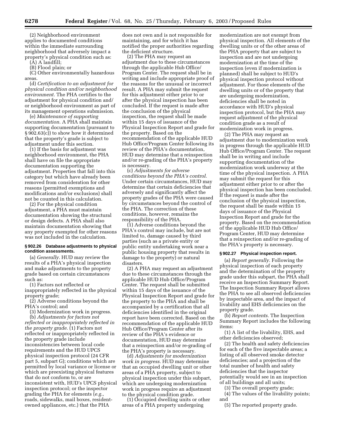(2) Neighborhood environment applies to documented conditions within the immediate surrounding neighborhood that adversely impact a property's physical condition such as:

(A) A landfill;

(B) Flood plain; or

(C) Other environmentally hazardous areas.

(d) *Certification to an adjustment for physical condition and/or neighborhood environment.* The PHA certifies to the adjustment for physical condition and/ or neighborhood environment as part of its management operations submission.

(e) *Maintenance of supporting documentation.* A PHA shall maintain supporting documentation (pursuant to § 902.63(c)) to show how it determined that the property's grade is subject to adjustment under this section.

(1) If the basis for adjustment was neighborhood environment, the PHA shall have on file the appropriate documentation supporting the adjustment. Properties that fall into this category but which have already been removed from consideration for other reasons (permitted exemptions and modifications and/or exclusions) shall not be counted in this calculation.

(2) For the physical condition adjustment, a PHA must maintain documentation showing the structural or design defects. A PHA shall also maintain documentation showing that any property exempted for other reasons was not included in the calculation.

# **§ 902.26 Database adjustments to physical condition assessments.**

(a) *Generally.* HUD may review the results of a PHA's physical inspection and make adjustments to the property grade based on certain circumstances such as:

(1) Factors not reflected or inappropriately reflected in the physical property grade;

(2) Adverse conditions beyond the PHA's control; and

(3) Modernization work in progress.

(b) *Adjustments for factors not reflected or inappropriately reflected in the property grade.* (1) Factors not reflected or inappropriately reflected in the property grade include inconsistencies between local code requirements and the HUD UPCS physical inspection protocol (24 CFR part 5, subpart G); conditions which are permitted by local variance or license or which are preexisting physical features that do not conform to, or are inconsistent with, HUD's UPCS physical inspection protocol; or the inspector grading the PHA for elements (*e.g.*, roads, sidewalks, mail boxes, residentowned appliances, etc.) that the PHA

does not own and is not responsible for maintaining, and for which it has notified the proper authorities regarding the deficient structure.

(2) The PHA may request an adjustment due to these circumstances through the applicable Hub Office/ Program Center. The request shall be in writing and include appropriate proof of the reasons for the unusual or incorrect result. A PHA may submit the request for this adjustment either prior to or after the physical inspection has been concluded. If the request is made after the conclusion of the physical inspection, the request shall be made within 15 days of issuance of the Physical Inspection Report and grade for the property. Based on the recommendation of the applicable HUD Hub Office/Program Center following its review of the PHA's documentation, HUD may determine that a reinspection and/or re-grading of the PHA's property is necessary.

(c) *Adjustments for adverse conditions beyond the PHA's control.* Under certain circumstances, HUD may determine that certain deficiencies that adversely and significantly affect the property grades of the PHA were caused by circumstances beyond the control of the PHA. The correction of these conditions, however, remains the responsibility of the PHA.

(1) Adverse conditions beyond the PHA's control may include, but are not limited to, damage caused by third parties (such as a private entity or public entity undertaking work near a public housing property that results in damage to the property) or natural disasters.

(2) A PHA may request an adjustment due to these circumstances through the applicable HUD Hub Office/Program Center. The request shall be submitted within 15 days of the issuance of the Physical Inspection Report and grade for the property to the PHA and shall be accompanied by a certification that all deficiencies identified in the original report have been corrected. Based on the recommendation of the applicable HUD Hub Office/Program Center after its review of the PHA's evidence or documentation, HUD may determine that a reinspection and/or re-grading of the PHA's property is necessary.

(d) *Adjustments for modernization work in progress.* HUD may determine that an occupied dwelling unit or other areas of a PHA property, subject to physical inspection under this subpart, which are undergoing modernization work in progress require an adjustment to the physical condition grade.

(1) Occupied dwelling units or other areas of a PHA property undergoing

modernization are not exempt from physical inspection. All elements of the dwelling units or of the other areas of the PHA property that are subject to inspection and are not undergoing modernization at the time of the inspection (even if modernization is planned) shall be subject to HUD's physical inspection protocol without adjustment. For those elements of the dwelling units or of the property that are undergoing modernization, deficiencies shall be noted in accordance with HUD's physical inspection protocol, but the PHA may request adjustment of the physical condition grade as a result of modernization work in progress.

(2) The PHA may request an adjustment due to modernization work in progress through the applicable HUD Hub Office/Program Center. The request shall be in writing and include supporting documentation of the modernization work underway at the time of the physical inspection. A PHA may submit the request for this adjustment either prior to or after the physical inspection has been concluded. If the request is made after the conclusion of the physical inspection, the request shall be made within 15 days of issuance of the Physical Inspection Report and grade for the property. Based on the recommendation of the applicable HUD Hub Office/ Program Center, HUD may determine that a reinspection and/or re-grading of the PHA's property is necessary.

# **§ 902.27 Physical inspection report.**

(a) *Report generally.* Following the physical inspection of each property and the determination of the property grade under this subpart, the PHA shall receive an Inspection Summary Report. The Inspection Summary Report allows the PHA to see all observed deficiencies by inspectable area, and the impact of livability and EHS deficiencies on the property grade.

(b) *Report contents.* The Inspection Summary Report includes the following items:

(1) A list of the livability, EHS, and other deficiencies observed;

(2) The health and safety deficiencies for each of the five inspectable areas; a listing of all observed smoke detector deficiencies; and a projection of the total number of health and safety deficiencies that the inspector potentially would see in an inspection of all buildings and all units;

(3) The overall property grade;

(4) The values of the livability points; and

(5) The reported property grade.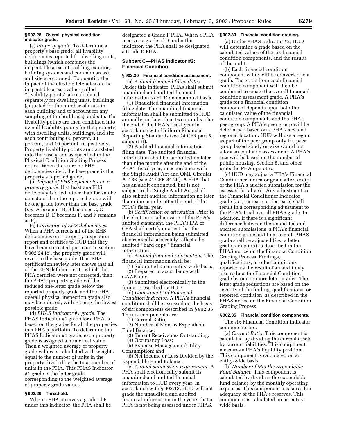#### **§ 902.28 Overall physical condition indicator grade.**

(a) *Property grade.* To determine a property's base grade, all livability deficiencies reported for dwelling units, buildings (which combines the inspectable areas of building exterior, building systems and common areas), and site are counted. To quantify the impact of the cited deficiencies on the inspectable areas, values called ''livability points'' are calculated separately for dwelling units, buildings (adjusted for the number of units in each building and to account for any sampling of the buildings), and site. The livability points are then combined into overall livability points for the property, with dwelling units, buildings, and site each contributing 60 percent, 30 percent, and 10 percent, respectively. Property livability points are translated into the base grade as specified in the Physical Condition Grading Process notice. When there are no EHS deficiencies cited, the base grade is the property's reported grade.

(b) *Impact of EHS deficiencies on a property grade.* If at least one EHS deficiency is cited, other than for smoke detectors, then the reported grade will be one grade lower than the base grade (*i.e.*, A becomes B, B becomes C, C becomes D, D becomes F, and F remains as F).

(c) *Correction of EHS deficiencies.* When a PHA corrects all of the EHS deficiencies on a property inspection report and certifies to HUD that they have been corrected pursuant to section § 902.24 (c), the property grade will revert to the base grade. If an EHS certification review later shows that all of the EHS deficiencies to which the PHA certified were not corrected, then the PHA's property grade will be reduced one-letter grade below the reported property grade and the PHA's overall physical inspection grade also may be reduced, with F being the lowest possible grade.

(d) *PHAS Indicator #1 grade.* The PHAS Indicator #1 grade for a PHA is based on the grades for all the properties in a PHA's portfolio. To determine the PHAS Indicator #1 grade, each property grade is assigned a numerical value. Then a weighted average of property grade values is calculated with weights equal to the number of units in the property divided by the total number of units in the PHA. This PHAS Indicator #1 grade is the letter grade corresponding to the weighted average of property grade values.

# **§ 902.29 Threshold.**

When a PHA receives a grade of F under this indicator, the PHA shall be designated a Grade F PHA. When a PHA receives a grade of D under this indicator, the PHA shall be designated a Grade D PHA.

# **Subpart C—PHAS Indicator #2: Financial Condition**

#### **§ 902.30 Financial condition assessment.**

(a) *Annual financial filing dates.* Under this indicator, PHAs shall submit unaudited and audited financial information to HUD on an annual basis.

(1) Unaudited financial information filing date. The unaudited financial information shall be submitted to HUD annually, no later than two months after the end of the PHA's fiscal year in accordance with Uniform Financial Reporting Standards (see 24 CFR part 5, subpart H).

(2) Audited financial information filing date. The audited financial information shall be submitted no later than nine months after the end of the PHA's fiscal year, in accordance with the Single Audit Act and OMB Circular A–133 (see 24 CFR 84.26). A PHA that has an audit conducted, but is not subject to the Single Audit Act, shall also submit audited information no later than nine months after the end of the PHA's fiscal year.

(b) *Certification or attestation.* Prior to the electronic submission of the PHA's audited statement, the PHA's IPA or CPA shall certify or attest that the financial information being submitted electronically accurately reflects the audited ''hard copy'' financial information.

(c) *Annual financial information.* The financial information shall be:

(1) Submitted on an entity-wide basis; (2) Prepared in accordance with GAAP; and

(3) Submitted electronically in the format prescribed by HUD.

(d) *Components of Financial Condition Indicator.* A PHA's financial condition shall be assessed on the basis of six components described in § 902.35. The six components are:

(1) Current Ratio;

(2) Number of Months Expendable Fund Balance;

(3) Tenant Receivables Outstanding;

(4) Occupancy Loss; (5) Expense Management/Utility Consumption; and

(6) Net Income or Loss Divided by the Expendable Fund Balance.

(e) *Annual submission requirement.* A PHA shall electronically submit its unaudited and audited financial information to HUD every year. In accordance with § 902.13, HUD will not grade the unaudited and audited financial information in the years that a PHA is not being assessed under PHAS.

# **§ 902.33 Financial condition grading.**

(a) Under PHAS Indicator #2, HUD will determine a grade based on the calculated values of the six financial condition components, and the results of the audit.

(b) Each financial condition component value will be converted to a grade. The grade from each financial condition component will then be combined to create the overall financial condition assessment grade. A PHA's grade for a financial condition component depends upon both the calculated value of the financial condition components and the PHA's peer group. A PHA's peer group will be determined based on a PHA's size and regional location. HUD will use a region as part of the peer group only if a peer group based solely on size would not allow an equitable assessment. A PHA's size will be based on the number of public housing, Section 8, and other units the PHA operates.

(c) HUD may adjust a PHA's Financial Conditioner Indicator grade after receipt of the PHA's audited submission for the assessed fiscal year. Any adjustment to the Financial Conditioner Indicator grade (*i.e.*, increase or decrease) shall result in a corresponding adjustment to the PHA's final overall PHAS grade. In addition, if there is a significant difference between the unaudited and audited submissions, a PHA's financial condition grade and final overall PHAS grade shall be adjusted (*i.e.*, a letter grade reduction) as described in the PHAS notice on the Financial Condition Grading Process. Findings, qualifications, or other conditions reported as the result of an audit may also reduce the Financial Condition grade by one or more letter grades. The letter grade reductions are based on the severity of the finding, qualifications, or reported condition, as described in the PHAS notice on the Financial Condition Grading Process.

#### **§ 902.35 Financial condition components.**

The six Financial Condition Indicator components are:

(a) *Current Ratio.* This component is calculated by dividing the current assets by current liabilities. This component measures a PHA's liquidity position. This component is calculated on an entity-wide basis.

(b) *Number of Months Expendable Fund Balance.* This component is calculated by dividing the expendable fund balance by the monthly operating expenses. This component measures the adequacy of the PHA's reserves. This component is calculated on an entitywide basis.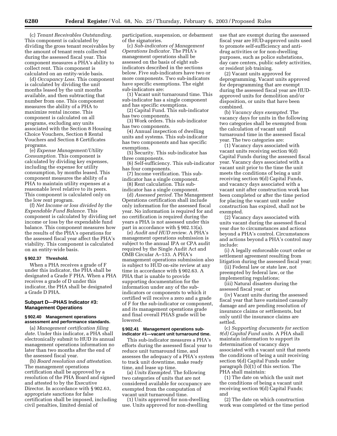(c) *Tenant Receivables Outstanding.* This component is calculated by dividing the gross tenant receivables by the amount of tenant rents collected during the assessed fiscal year. This component measures a PHA's ability to collect rent. This component is calculated on an entity-wide basis.

(d) *Occupancy Loss.* This component is calculated by dividing the unit months leased by the unit months available, and then subtracting that number from one. This component measures the ability of a PHA to maximize rental income. This component is calculated on all programs, excluding any units associated with the Section 8 Housing Choice Vouchers, Section 8 Rental Vouchers and Section 8 Certificates programs.

(e) *Expense Management/Utility Consumption.* This component is calculated by dividing key expenses, including the expense for utility consumption, by months leased. This component measures the ability of a PHA to maintain utility expenses at a reasonable level relative to its peers. This component is calculated only on the low rent program.

(f) *Net Income or loss divided by the Expendable Fund Balance.* This component is calculated by dividing net income or loss by the expendable fund balance. This component measures how the results of the PHA's operations for the assessed fiscal year affect the PHA's viability. This component is calculated on an entity-wide basis.

#### **§ 902.37 Threshold.**

When a PHA receives a grade of F under this indicator, the PHA shall be designated a Grade F PHA. When a PHA receives a grade of D under this indicator, the PHA shall be designated a Grade D PHA.

# **Subpart D—PHAS Indicator #3: Management Operations**

# **§ 902.40 Management operations assessment and performance standards.**

(a) *Management certification filing date.* Under this indicator, a PHA shall electronically submit to HUD its annual management operations information no later than two months after the end of the assessed fiscal year.

(b) *Board resolution and attestation.* The management operations certification shall be approved by a resolution of the PHA Board and signed and attested to by the Executive Director. In accordance with § 902.63, appropriate sanctions for false certification shall be imposed, including civil penalties, limited denial of

participation, suspension, or debarment of the signatories.

(c) *Sub-indicators of Management Operations Indicator.* The PHA's management operations shall be assessed on the basis of eight subindicators described in the sections below. Five sub-indicators have two or more components. Two sub-indicators have specific exemptions. The eight sub-indicators are:

(1) Vacant unit turnaround time. This sub-indicator has a single component and has specific exemptions.

(2) Capital Fund. This sub-indicator has two components.

(3) Work orders. This sub-indicator has two components.

(4) Annual inspection of dwelling units and systems. This sub-indicator has two components and has specific exemptions.

(5) Security. This sub-indicator has three components.

(6) Self-sufficiency. This sub-indicator has four components.

(7) Income verification. This subindicator has a single component. (8) Rent calculation. This sub-

indicator has a single component. (d) *Assessed period.* The Management Operations certification shall include

only information for the assessed fiscal year. No information is required for and no certification is required during the years a PHA is not assessed under this part in accordance with § 902.13(a).

(e) *Audit and HUD review.* A PHA's management operations submission is subject to the annual IPA or CPA audit required by the Single Audit Act and OMB Circular A–133. A PHA's management operations submission also is subject to HUD on-site review at any time in accordance with § 902.63. A PHA that is unable to provide supporting documentation for the information under any of the subindicators or components to which it certified will receive a zero and a grade of F for the sub-indicator or component, and its management operations grade and final overall PHAS grade will be lowered.

#### **§ 902.41 Management operations subindicator #1—vacant unit turnaround time.**

This sub-indicator measures a PHA's efforts during the assessed fiscal year to reduce unit turnaround time, and assesses the adequacy of a PHA's system to track unit downtime, make ready time, and lease up time.

(a) *Units Exempted.* The following two categories of units that are not considered available for occupancy are exempted from the computation of vacant unit turnaround time.

(1) Units approved for non-dwelling use. Units approved for non-dwelling

use that are exempt during the assessed fiscal year are HUD-approved units used to promote self-sufficiency and antidrug activities or for non-dwelling purposes, such as police substations, day care centers, public safety activities, or resident job training.

(2) Vacant units approved for deprogramming. Vacant units approved for deprogramming that are exempt during the assessed fiscal year are HUDapproved units for demolition and/or disposition, or units that have been combined.

(b) *Vacancy days exempted.* The vacancy days for units in the following two categories shall be exempted from the calculation of vacant unit turnaround time in the assessed fiscal year. The two categories are:

(1) Vacancy days associated with vacant units receiving section 9(d) Capital Funds during the assessed fiscal year. Vacancy days associated with a vacant unit prior to the time the unit meets the conditions of being a unit receiving section 9(d) Capital Funds, and vacancy days associated with a vacant unit after construction work has been completed or after the time period for placing the vacant unit under construction has expired, shall not be exempted.

(2) Vacancy days associated with units vacant during the assessed fiscal year due to circumstances and actions beyond a PHA's control. Circumstances and actions beyond a PHA's control may include:

(i) A legally enforceable court order or settlement agreement resulting from litigation during the assessed fiscal year;

(ii) Federal law or state law, not preempted by federal law, or the implementing regulations;

(iii) Natural disasters during the assessed fiscal year; or

(iv) Vacant units during the assessed fiscal year that have sustained casualty damage and are pending resolution of insurance claims or settlements, but only until the insurance claims are settled.

(c) *Supporting documents for section 9(d) Capital Fund units.* A PHA shall maintain information to support its determination of vacancy days associated with a vacant unit that meets the conditions of being a unit receiving section 9(d) Capital Funds under paragraph (b)(1) of this section. The PHA shall maintain:

(1) The date on which the unit met the conditions of being a vacant unit receiving section 9(d) Capital Funds; and

(2) The date on which construction work was completed or the time period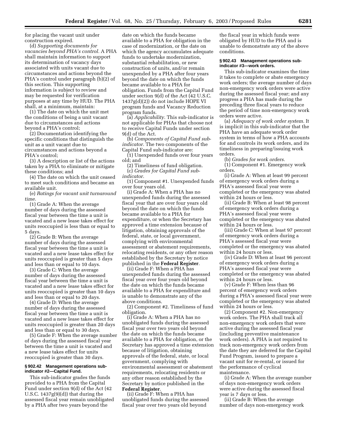for placing the vacant unit under construction expired.

(d) *Supporting documents for vacancies beyond PHA's control.* A PHA shall maintain information to support its determination of vacancy days associated with units vacant due to circumstances and actions beyond the PHA's control under paragraph (b)(2) of this section. This supporting information is subject to review and may be requested for verification purposes at any time by HUD. The PHA shall, at a minimum, maintain:

(1) The date on which the unit met the conditions of being a unit vacant due to circumstances and actions beyond a PHA's control;

(2) Documentation identifying the specific conditions that distinguish the unit as a unit vacant due to circumstances and actions beyond a PHA's control;

(3) A description or list of the actions taken by a PHA to eliminate or mitigate these conditions; and

(4) The date on which the unit ceased to meet such conditions and became an available unit.

(e) *Ratings for vacant unit turnaround time.*

(1) Grade A: When the average number of days during the assessed fiscal year between the time a unit is vacated and a new lease takes effect for units reoccupied is less than or equal to 5 days.

(2) Grade B: When the average number of days during the assessed fiscal year between the time a unit is vacated and a new lease takes effect for units reoccupied is greater than 5 days and less than or equal to 10 days.

(3) Grade C: When the average number of days during the assessed fiscal year between the time a unit is vacated and a new lease takes effect for units reoccupied is greater than 10 days and less than or equal to 20 days.

(4) Grade D: When the average number of days during the assessed fiscal year between the time a unit is vacated and a new lease takes effect for units reoccupied is greater than 20 days and less than or equal to 30 days.

(5) Grade F: When the average number of days during the assessed fiscal year between the time a unit is vacated and a new lease takes effect for units reoccupied is greater than 30 days.

#### **§ 902.42 Management operations subindicator #2—Capital Fund.**

This sub-indicator grades the funds provided to a PHA from the Capital Fund under section 9(d) of the Act (42 U.S.C.  $1437g(9)(d)$  that during the assessed fiscal year remain unobligated by a PHA after two years beyond the

date on which the funds became available to a PHA for obligation in the case of modernization, or the date on which the agency accumulates adequate funds to undertake modernization, substantial rehabilitation, or new construction of units, and/or remain unexpended by a PHA after four years beyond the date on which the funds became available to a PHA for obligation. Funds from the Capital Fund under section 9(d) of the Act (42 U.S.C. 1437g(d)(2)) do not include HOPE VI program funds and Vacancy Reduction program funds.

(a) *Applicability.* This sub-indicator is not applicable for PHAs that choose not to receive Capital Funds under section 9(d) of the Act.

(b) *Components of Capital Fund subindicator.* The two components of the Capital Fund sub-indicator are:

(1) Unexpended funds over four years old; and

(2) Timeliness of fund obligation. (c) *Grades for Capital Fund subindicator.*

(1) Component #1. Unexpended funds over four years old.

(i) Grade A: When a PHA has no unexpended funds during the assessed fiscal year that are over four years old beyond the date on which the funds became available to a PHA for expenditure, or when the Secretary has approved a time extension because of litigation, obtaining approvals of the federal, state, or local government, complying with environmental assessment or abatement requirements, relocating residents, or any other reason established by the Secretary by notice published in the **Federal Register**.

(ii) Grade F: When a PHA has unexpended funds during the assessed fiscal year over four years old beyond the date on which the funds became available to a PHA for expenditure and is unable to demonstrate any of the above conditions.

(2) Component #2. Timeliness of fund obligation.

(i) Grade A: When a PHA has no unobligated funds during the assessed fiscal year over two years old beyond the date on which the funds became available to a PHA for obligation, or the Secretary has approved a time extension because of litigation, obtaining approvals of the federal, state, or local government, complying with environmental assessment or abatement requirements, relocating residents or any other reason established by the Secretary by notice published in the **Federal Register**.

(ii) Grade F: When a PHA has unobligated funds during the assessed fiscal year over two years old beyond

the fiscal year in which funds were obligated by HUD to the PHA and is unable to demonstrate any of the above conditions.

#### **§ 902.43 Management operations subindicator #3—work orders.**

This sub-indicator examines the time it takes to complete or abate emergency work orders; the average number of days non-emergency work orders were active during the assessed fiscal year; and any progress a PHA has made during the preceding three fiscal years to reduce the period of time non-emergency work orders were active.

(a) *Adequacy of work order system.* It is implicit in this sub-indicator that the PHA have an adequate work order system in terms of how a PHA accounts for and controls its work orders, and its timeliness in preparing/issuing work orders.

(b) *Grades for work orders.*

(1) Component #1. Emergency work orders.

(i) Grade A: When at least 99 percent of emergency work orders during a PHA's assessed fiscal year were completed or the emergency was abated within 24 hours or less.

(ii) Grade B: When at least 98 percent of emergency work orders during a PHA's assessed fiscal year were completed or the emergency was abated within 24 hours or less.

(iii) Grade C: When at least 97 percent of emergency work orders during a PHA's assessed fiscal year were completed or the emergency was abated within 24 hours or less.

(iv) Grade D: When at least 96 percent of emergency work orders during a PHA's assessed fiscal year were completed or the emergency was abated within 24 hours or less.

(v) Grade F: When less than 96 percent of emergency work orders during a PHA's assessed fiscal year were completed or the emergency was abated within 24 hours or less.

(2) Component #2. Non-emergency work orders. The PHA shall track all non-emergency work orders that were active during the assessed fiscal year (including preventive maintenance work orders). A PHA is not required to track non-emergency work orders from the date they are deferred for the Capital Fund Program, issued to prepare a vacant unit for re-rental, or issued for the performance of cyclical maintenance.

(i) Grade A: When the average number of days non-emergency work orders were active during the assessed fiscal year is 7 days or less.

(ii) Grade B: When the average number of days non-emergency work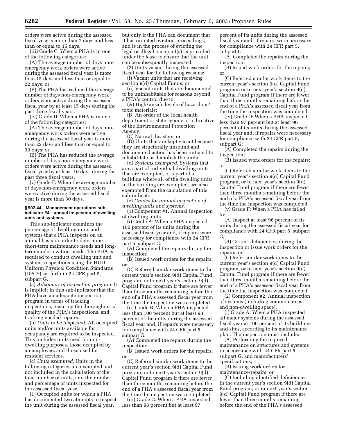orders were active during the assessed fiscal year is more than 7 days and less than or equal to 15 days.

(iii) Grade C: When a PHA is in one of the following categories:

(A) The average number of days nonemergency work orders were active during the assessed fiscal year is more than 15 days and less than or equal to 22 days; or

(B) The PHA has reduced the average number of days non-emergency work orders were active during the assessed fiscal year by at least 15 days during the past three fiscal years.

(iv) Grade D: When a PHA is in one of the following categories:

(A) The average number of days nonemergency work orders were active during the assessed fiscal year is more than 22 days and less than or equal to 30 days; or

(B) The PHA has reduced the average number of days non-emergency work orders were active during the assessed fiscal year by at least 10 days during the past three fiscal years.

(v) Grade F: When the average number of days non-emergency work orders were active during the assessed fiscal year is more than 30 days.

#### **§ 902.44 Management operations subindicator #4—annual inspection of dwelling units and systems.**

This sub-indicator examines the percentage of dwelling units and systems that a PHA inspects on an annual basis in order to determine short-term maintenance needs and longterm modernization needs. The PHA is required to conduct dwelling unit and systems inspections using the HUD Uniform Physical Condition Standards (UPCS) set forth in 24 CFR part 5, subpart G.

(a) *Adequacy of inspection program.* It is implicit in this sub-indicator that the PHA have an adequate inspection program in terms of tracking inspections, ensuring the thoroughness/ quality of the PHA's inspections, and tracking needed repairs.

(b) *Units to be inspected.* All occupied units and/or units available for occupancy are required to be inspected. This includes units used for nondwelling purposes, those occupied by an employee, and those used for resident services.

(c) *Units exempted.* Units in the following categories are exempted and not included in the calculation of the total number of units, and the number and percentage of units inspected for the assessed fiscal year.

(1) Occupied units for which a PHA has documented two attempts to inspect the unit during the assessed fiscal year,

but only if the PHA can document that it has initiated eviction proceedings, and is in the process of evicting the legal or illegal occupant(s) as provided under the lease to ensure that the unit can be subsequently inspected.

(2) Units vacant during the assessed fiscal year for the following reasons:

(i) Vacant units that are receiving section 9(d) Capital Funds; or

(ii) Vacant units that are documented to be uninhabitable for reasons beyond a PHA's control due to:

(A) High/unsafe levels of hazardous/ toxic materials;

(B) An order of the local health department or state agency or a directive of the Environmental Protection Agency;

(C) Natural disasters; or

(D) Units that are kept vacant because they are structurally unsound and documented action has been initiated to rehabilitate or demolish the units.

(d) *Systems exempted.* Systems that are a part of individual dwelling units that are exempted, or a part of a building where all of the dwelling units in the building are exempted, are also exempted from the calculation of this sub-indicator.

(e) *Grades for annual inspection of dwelling units and systems.*

(1) Component #1. Annual inspection of dwelling units.

(i) Grade A: When a PHA inspected 100 percent of its units during the assessed fiscal year and, if repairs were necessary for compliance with 24 CFR part 5, subpart G:

(A) Completed the repairs during the inspection;

(B) Issued work orders for the repairs; or

(C) Referred similar work items to the current year's section 9(d) Capital Fund program, or to next year's section 9(d) Capital Fund program if there are fewer than three months remaining before the end of a PHA's assessed fiscal year from the time the inspection was completed.

(ii) Grade B: When a PHA inspected less than 100 percent but at least 98 percent of the units during the assessed fiscal year and, if repairs were necessary for compliance with 24 CFR part 5, subpart G:

(A) Completed the repairs during the inspection;

(B) Issued work orders for the repairs; or

(C) Referred similar work items to the current year's section 9(d) Capital Fund program, or to next year's section 9(d) Capital Fund program if there are fewer than three months remaining before the end of a PHA's assessed fiscal year from the time the inspection was completed.

(iii) Grade C: When a PHA inspected less than 98 percent but at least 97

percent of its units during the assessed fiscal year and, if repairs were necessary for compliance with 24 CFR part 5, subpart G:

(A) Completed the repairs during the inspection;

(B) Issued work orders for the repairs; or

(C) Referred similar work items to the current year's section 9(d) Capital Fund program, or to next year's section 9(d) Capital Fund program if there are fewer than three months remaining before the end of a PHA's assessed fiscal year from the time the inspection was completed.

(iv) Grade D: When a PHA inspected less than 97 percent but at least 96 percent of its units during the assessed fiscal year and, if repairs were necessary for compliance with 24 CFR part 5, subpart G:

(A) Completed the repairs during the inspection;

(B) Issued work orders for the repairs; or

(C) Referred similar work items to the current year's section 9(d) Capital Fund program, or to next year's section 9(d) Capital Fund program if there are fewer than three months remaining before the end of a PHA's assessed fiscal year from the time the inspection was completed.

(v) Grade F: When a PHA has failed to:

(A) Inspect at least 96 percent of its units during the assessed fiscal year for compliance with 24 CFR part 5, subpart G;

(B) Correct deficiencies during the inspection or issue work orders for the repairs; or

(C) Refer similar work items to the current year's section 9(d) Capital Fund program, or to next year's section 9(d) Capital Fund program if there are fewer than three months remaining before the end of a PHA's assessed fiscal year from the time the inspection was completed.

(2) Component #2. Annual inspection of systems (including common areas and non-dwelling space).

(i) Grade A: When a PHA inspected all major systems during the assessed fiscal year at 100 percent of its buildings and sites, according to its maintenance plan. The inspection must include:

(A) Performing the required maintenance on structures and systems in accordance with 24 CFR part 5, subpart G, and manufacturers' specifications;

(B) Issuing work orders for maintenance/repairs; or

(C) Including identified deficiencies in the current year's section 9(d) Capital Fund program, or in next year's section 9(d) Capital Fund program if there are fewer than three months remaining before the end of the PHA's assessed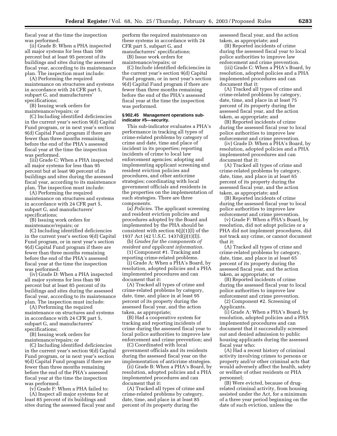fiscal year at the time the inspection was performed.

(ii) Grade B: When a PHA inspected all major systems for less than 100 percent but at least 95 percent of its buildings and sites during the assessed fiscal year, according to its maintenance plan. The inspection must include:

(A) Performing the required maintenance on structures and systems in accordance with 24 CFR part 5, subpart G, and manufacturers' specifications;

(B) Issuing work orders for maintenance/repairs; or

(C) Including identified deficiencies in the current year's section 9(d) Capital Fund program, or in next year's section 9(d) Capital Fund program if there are fewer than three months remaining before the end of the PHA's assessed fiscal year at the time the inspection was performed.

(iii) Grade C: When a PHA inspected all major systems for less than 95 percent but at least 90 percent of its buildings and sites during the assessed fiscal year, according to its maintenance plan. The inspection must include:

(A) Performing the required maintenance on structures and systems in accordance with 24 CFR part 5, subpart G, and manufacturers' specifications;

(B) Issuing work orders for maintenance/repairs; or

(C) Including identified deficiencies in the current year's section 9(d) Capital Fund program, or in next year's section 9(d) Capital Fund program if there are fewer than three months remaining before the end of the PHA's assessed fiscal year at the time the inspection was performed.

(iv) Grade D: When a PHA inspected all major systems for less than 90 percent but at least 85 percent of its buildings and sites during the assessed fiscal year, according to its maintenance plan. The inspection must include:

(A) Performing the required maintenance on structures and systems in accordance with 24 CFR part 5, subpart G, and manufacturers' specifications;

(B) Issuing work orders for maintenance/repairs; or

(C) Including identified deficiencies in the current year's section 9(d) Capital Fund program, or in next year's section 9(d) Capital Fund program if there are fewer than three months remaining before the end of the PHA's assessed fiscal year at the time the inspection was performed.

(v) Grade F: When a PHA failed to:

(A) Inspect all major systems for at least 85 percent of its buildings and sites during the assessed fiscal year and perform the required maintenance on these systems in accordance with 24 CFR part 5, subpart G, and manufacturers' specifications;

(B) Issue work orders for maintenance/repairs; or

(C) Include identified deficiencies in the current year's section 9(d) Capital Fund program, or in next year's section 9(d) Capital Fund program if there are fewer than three months remaining before the end of the PHA's assessed fiscal year at the time the inspection was performed.

# **§ 902.45 Management operations subindicator #5—security.**

This sub-indicator evaluates a PHA's performance in tracking all types of crime-related problems by category of crime and date, time and place of incident in its properties; reporting incidents of crime to local law enforcement agencies; adopting and implementing applicant screening and resident eviction policies and procedures, and other anticrime strategies; coordinating with local government officials and residents in the properties on the implementation of such strategies. There are three components.

(a) *Policies.* The applicant screening and resident eviction policies and procedures adopted by the Board and implemented by the PHA should be consistent with section  $6(j)(1)(I)$  of the 1937 Act (42 U.S.C. 1437d(j)(1)(I)).

(b) *Grades for the components of resident and applicant information.*

(1) Component #1. Tracking and reporting crime-related problems.

(i) Grade A: When a PHA's Board, by resolution, adopted policies and a PHA implemented procedures and can document that it:

(A) Tracked all types of crime and crime-related problems by category, date, time, and place in at least 95 percent of its property during the assessed fiscal year, and the action taken, as appropriate;

(B) Had a cooperative system for tracking and reporting incidents of crime during the assessed fiscal year to local police authorities to improve law enforcement and crime prevention; and

(C) Coordinated with local government officials and its residents during the assessed fiscal year on the implementation of anticrime strategies.

(ii) Grade B: When a PHA's Board, by resolution, adopted policies and a PHA implemented procedures and can document that it:

(A) Tracked all types of crime and crime-related problems by category, date, time, and place in at least 85 percent of its property during the

assessed fiscal year, and the action taken, as appropriate; and

(B) Reported incidents of crime during the assessed fiscal year to local police authorities to improve law enforcement and crime prevention.

(iii) Grade C: When a PHA's Board, by resolution, adopted policies and a PHA implemented procedures and can document that it:

(A) Tracked all types of crime and crime-related problems by category, date, time, and place in at least 75 percent of its property during the assessed fiscal year, and the action taken, as appropriate; and

(B) Reported incidents of crime during the assessed fiscal year to local police authorities to improve law enforcement and crime prevention.

(iv) Grade D: When a PHA's Board, by resolution, adopted policies and a PHA implemented procedures and can document that it:

(A) Tracked all types of crime and crime-related problems by category, date, time, and place in at least 65 percent of its property during the assessed fiscal year, and the action taken, as appropriate; and

(B) Reported incidents of crime during the assessed fiscal year to local police authorities to improve law enforcement and crime prevention.

(v) Grade F: When a PHA's Board, by resolution, did not adopt policies or a PHA did not implement procedures, did not track any crime, or cannot document that it:

(A) Tracked all types of crime and crime-related problems by category, date, time, and place in at least 65 percent of its property during the assessed fiscal year, and the action taken, as appropriate; or

(B) Reported incidents of crime during the assessed fiscal year to local police authorities to improve law enforcement and crime prevention.

(2) Component #2. Screening of Applicants.

(i) Grade A: When a PHA's Board, by resolution, adopted policies and a PHA implemented procedures and can document that it successfully screened out and denied admission to public housing applicants during the assessed fiscal year who:

(A) Had a recent history of criminal activity involving crimes to persons or property and/or other criminal acts that would adversely affect the health, safety or welfare of other residents or PHA personnel;

(B) Were evicted, because of drugrelated criminal activity, from housing assisted under the Act, for a minimum of a three year period beginning on the date of such eviction, unless the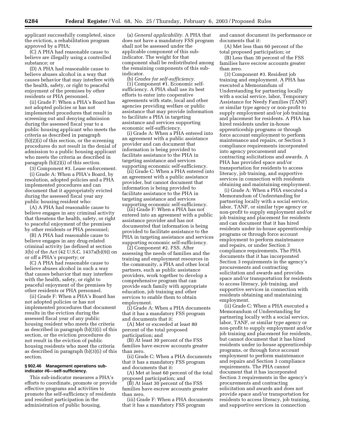applicant successfully completed, since the eviction, a rehabilitation program approved by a PHA;

(C) A PHA had reasonable cause to believe are illegally using a controlled substance; or

(D) A PHA had reasonable cause to believe abuses alcohol in a way that causes behavior that may interfere with the health, safety, or right to peaceful enjoyment of the premises by other residents or PHA personnel.

(ii) Grade F: When a PHA's Board has not adopted policies or has not implemented procedures that result in screening out and denying admission during the assessed fiscal year to a public housing applicant who meets the criteria as described in paragraph (b)(2)(i) of this section, or the screening procedures do not result in the denial of admission to a public housing applicant who meets the criteria as described in paragraph (b)(2)(i) of this section.

(3) Component #3. Lease enforcement.

(i) Grade A: When a PHA's Board, by resolution, adopted policies and a PHA implemented procedures and can document that it appropriately evicted during the assessed fiscal year any public housing resident who:

(A) A PHA had reasonable cause to believe engages in any criminal activity that threatens the health, safety, or right to peaceful enjoyment of the premises by other residents or PHA personnel;

(B) A PHA had reasonable cause to believe engages in any drug-related criminal activity (as defined at section 3(b) of the Act (42 U.S.C. 1437a(b)(9)) on or off a PHA's property; or

(C) A PHA had reasonable cause to believe abuses alcohol in such a way that causes behavior that may interfere with the health, safety, or right to peaceful enjoyment of the premises by other residents or PHA personnel.

(ii) Grade F: When a PHA's Board has not adopted policies or has not implemented procedures that document results in the eviction during the assessed fiscal year of any public housing resident who meets the criteria as described in paragraph (b)(3)(i) of this section, or the eviction procedures do not result in the eviction of public housing residents who meet the criteria as described in paragraph (b)(3)(i) of this section.

#### **§ 902.46 Management operations subindicator #6—self-sufficiency.**

This sub-indicator measures a PHA's efforts to coordinate, promote or provide effective programs and activities to promote the self-sufficiency of residents and resident participation in the administration of public housing.

(a) *General applicability.* A PHA that does not have a mandatory FSS program shall not be assessed under the applicable component of this subindicator. The weight for that component shall be redistributed among the remaining components of this subindicator.

(b) *Grades for self-sufficiency.* (1) Component #1. Economic selfsufficiency. A PHA shall use its best efforts to enter into cooperative agreements with state, local and other agencies providing welfare or public assistance that may provide information to facilitate a PHA in targeting assistance and services supporting economic self-sufficiency.

(i) Grade A: When a PHA entered into an agreement with a public assistance provider and can document that information is being provided to facilitate assistance to the PHA in targeting assistance and services supporting economic self-sufficiency.

(ii) Grade C: When a PHA entered into an agreement with a public assistance provider, but cannot document that information is being provided to facilitate assistance to the PHA in targeting assistance and services supporting economic self-sufficiency.

(iii) Grade F: When a PHA has not entered into an agreement with a public assistance provider and has not documented that information is being provided to facilitate assistance to the PHA in targeting assistance and services supporting economic self-sufficiency.

(2) Component #2. FSS. After assessing the needs of families and the training and employment resources in the community, a PHA and other local partners, such as public assistance providers, work together to develop a comprehensive program that can provide each family with appropriate education, job training and other services to enable them to obtain employment.

(i) Grade A: When a PHA documents that it has a mandatory FSS program and documents that it:

(A) Met or exceeded at least 80 percent of the total proposed participation; and

(B) At least 30 percent of the FSS families have escrow accounts greater than zero.

(ii) Grade C: When a PHA documents that it has a mandatory FSS program and documents that it:

(A) Met at least 60 percent of the total proposed participation; and

(B) At least 30 percent of the FSS families have escrow accounts greater than zero.

(iii) Grade F: When a PHA documents that it has a mandatory FSS program

and cannot document its performance or documents that it:

(A) Met less than 60 percent of the total proposed participation; or

(B) Less than 30 percent of the FSS families have escrow accounts greater than zero.

(3) Component #3. Resident job training and employment. A PHA has executed a Memorandum of Understanding for partnering locally with a social service, labor, Temporary Assistance for Needy Families (TANF) or similar type agency or non-profit to supply employment and/or job training and placement for residents. A PHA has hired residents under in-house apprenticeship programs or through force account employment to perform maintenance and repairs, or Section 3 compliance requirements incorporated into agency procurement and contracting solicitations and awards. A PHA has provided space and/or transportation for residents to access literacy, job training, and supportive services in connection with residents obtaining and maintaining employment.

(i) Grade A: When a PHA executed a Memorandum of Understanding for partnering locally with a social service, labor, TANF, or similar type agency or non-profit to supply employment and/or job training and placement for residents and can document that it has hired residents under in-house apprenticeship programs or through force account employment to perform maintenance and repairs, or under Section 3 compliance requirements. The PHA documents that it has incorporated Section 3 requirements in the agency's procurements and contracting solicitation and awards and provides space and/or transportation for residents to access literacy, job training, and supportive services in connection with residents obtaining and maintaining employment.

(ii) Grade C: When a PHA executed a Memorandum of Understanding for partnering locally with a social service, labor, TANF, or similar type agency or non-profit to supply employment and/or job training and placement for residents, but cannot document that it has hired residents under in-house apprenticeship programs, or through force account employment to perform maintenance and repairs and Section 3 compliance requirements. The PHA cannot document that it has incorporated Section 3 requirements in the agency's procurements and contracting solicitation and awards and does not provide space and/or transportation for residents to access literacy, job training, and supportive services in connection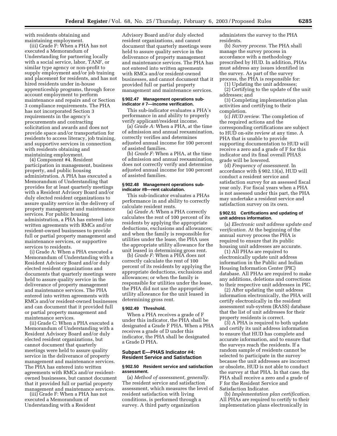with residents obtaining and maintaining employment.

(iii) Grade F: When a PHA has not executed a Memorandum of Understanding for partnering locally with a social service, labor, TANF, or similar type agency or non-profit to supply employment and/or job training and placement for residents, and has not hired residents under in-house apprenticeship programs, through force account employment to perform maintenance and repairs and or Section 3 compliance requirements. The PHA has not incorporated Section 3 requirements in the agency's procurements and contracting solicitation and awards and does not provide space and/or transportation for residents to access literacy, job training, and supportive services in connection with residents obtaining and maintaining employment.

(4) Component #4. Resident participation in management, business property, and public housing administration. A PHA has executed a Memorandum of Understanding that provides for at least quarterly meetings with a Resident Advisory Board and/or duly elected resident organizations to assure quality service in the delivery of property management and maintenance services. For public housing administration, a PHA has entered into written agreements with RMCs and/or resident-owned businesses to provide full or partial property management and maintenance services, or supportive services to residents.

(i) Grade A: When a PHA executed a Memorandum of Understanding with a Resident Advisory Board and/or duly elected resident organizations and documents that quarterly meetings were held to assure quality service in the deliverance of property management and maintenance services. The PHA entered into written agreements with RMCs and/or resident-owned businesses and can document that it provided full or partial property management and maintenance services.

(ii) Grade C: When a PHA executed a Memorandum of Understanding with a Resident Advisory Board and/or duly elected resident organizations, but cannot document that quarterly meetings were held to assure quality service in the deliverance of property management and maintenance services. The PHA has entered into written agreements with RMCs and/or residentowned businesses, but cannot document that it provided full or partial property management and maintenance services.

(iii) Grade F: When a PHA has not executed a Memorandum of Understanding with a Resident

Advisory Board and/or duly elected resident organizations, and cannot document that quarterly meetings were held to assure quality service in the deliverance of property management and maintenance services. The PHA has not entered into written agreements with RMCs and/or resident-owned businesses, and cannot document that it provided full or partial property management and maintenance services.

#### **§ 902.47 Management operations subindicator # 7—income verification.**

This sub-indicator evaluates a PHA's performance in and ability to properly verify applicant/resident income.

(a) *Grade A:* When a PHA, at the time of admission and annual reexamination, correctly verifies and determines adjusted annual income for 100 percent of assisted families.

(b) *Grade F:* When a PHA, at the time of admission and annual reexamination, does not correctly verify and determine adjusted annual income for 100 percent of assisted families.

#### **§ 902.48 Management operations subindicator #8—rent calculation.**

This sub-indicator evaluates a PHAs performance in and ability to correctly calculate resident rents.

(a) *Grade A:* When a PHA correctly calculates the rent of 100 percent of its residents by applying the appropriate deductions, exclusions and allowances; and when the family is responsible for utilities under the lease, the PHA uses the appropriate utility allowance for the unit leased in determining gross rent.

(b) *Grade F:* When a PHA does not correctly calculate the rent of 100 percent of its residents by applying the appropriate deductions, exclusions and allowances; or when the family is responsible for utilities under the lease, the PHA did not use the appropriate utility allowance for the unit leased in determining gross rent.

#### **§ 902.49 Threshold.**

When a PHA receives a grade of F under this indicator, the PHA shall be designated a Grade F PHA. When a PHA receives a grade of D under this indicator, the PHA shall be designated a Grade D PHA.

# **Subpart E—PHAS Indicator #4: Resident Service and Satisfaction**

#### **§ 902.50 Resident service and satisfaction assessment.**

(a) *Method of assessment, generally.* The resident service and satisfaction assessment, which measures the level of resident satisfaction with living conditions, is performed through a survey. A third party organization

administers the survey to the PHA residents.

(b) *Survey process.* The PHA shall manage the survey process in accordance with a methodology prescribed by HUD. In addition, PHAs must address any issues identified in the survey. As part of the survey process, the PHA is responsible for:

(1) Updating the unit addresses;

(2) Certifying to the update of the unit addresses; and

(3) Completing implementation plan activities and certifying to their completion.

(c) *HUD review.* The completion of the required actions and the corresponding certifications are subject to HUD on-site review at any time. A PHA that is unable to provide supporting documentation to HUD will receive a zero and a grade of F for this indicator and its final overall PHAS grade will be lowered.

(d) *Frequency of assessment.* In accordance with § 902.13(a), HUD will conduct a resident service and satisfaction survey for an assessed fiscal year only. For fiscal years when a PHA is not assessed under this part, the PHA may undertake a resident service and satisfaction survey on its own.

#### **§ 902.51 Certifications and updating of unit address information.**

(a) *Electronic unit address update and verification.* At the beginning of the annual survey process the PHA is required to ensure that its public housing unit addresses are accurate.

(1) All PHAs are required to electronically update unit address information in the Public and Indian Housing Information Center (PIC) database. All PHAs are required to make any additions, deletions and corrections to their respective unit addresses in PIC.

(2) After updating the unit address information electronically, the PHA will certify electronically in the resident assessment sub-system (RASS) database that the list of unit addresses for their property residents is correct.

(3) A PHA is required to both update and certify its unit address information to ensure that HUD has complete and accurate information, and to ensure that the surveys reach the residents. If a random sample of residents cannot be selected to participate in the survey because the unit addresses are incorrect or obsolete, HUD is not able to conduct the survey at that PHA. In that case, the PHA shall receive a zero and a grade of F for the Resident Service and Satisfaction Indicator.

(b) *Implementation plan certification.* All PHAs are required to certify to their implementation plans electronically in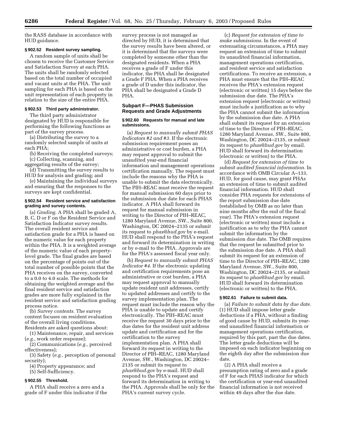the RASS database in accordance with HUD guidance.

# **§ 902.52 Resident survey sampling.**

A random sample of units shall be chosen to receive the Customer Service and Satisfaction Survey at each PHA. The units shall be randomly selected based on the total number of occupied and vacant units at the PHA. The unit sampling for each PHA is based on the unit representation of each property in relation to the size of the entire PHA.

# **§ 902.53 Third party administrator.**

The third party administrator designated by HUD is responsible for performing the following functions as part of the survey process.

(a) Distributing the survey to a randomly selected sample of units at each PHA;

(b) Receiving the completed surveys;

(c) Collecting, scanning, and aggregating results of the survey;

(d) Transmitting the survey results to HUD for analysis and grading; and

(e) Maintaining the individual surveys and ensuring that the responses to the surveys are kept confidential.

# **§ 902.54 Resident service and satisfaction grading and survey contents.**

(a) *Grading.* A PHA shall be graded A, B, C, D or F on the Resident Service and Satisfaction Indicator survey results. The overall resident service and satisfaction grade for a PHA is based on the numeric value for each property within the PHA. It is a weighted average of the numeric value of each propertylevel grade. The final grades are based on the percentage of points out of the total number of possible points that the PHA receives on the survey, converted to a 0.0 to 4.0 scale. The methods for obtaining the weighted average and the final resident service and satisfaction grades are more fully explained in the resident service and satisfaction grading process notice.

(b) *Survey contents.* The survey content focuses on resident evaluation of the overall living conditions. Residents are asked questions about:

(1) Maintenance, repair, and services (*e.g.*, work order response);

(2) Communications (*e.g.*, perceived effectiveness);

(3) Safety (*e.g.*, perception of personal security);

(4) Property appearance; and

(5) Self-Sufficiency.

# **§ 902.55 Threshold.**

A PHA shall receive a zero and a grade of F under this indicator if the survey process is not managed as directed by HUD, it is determined that the survey results have been altered, or it is determined that the surveys were completed by someone other than the designated residents. When a PHA receives a grade of F under this indicator, the PHA shall be designated a Grade F PHA. When a PHA receives a grade of D under this indicator, the PHA shall be designated a Grade D PHA.

# **Subpart F—PHAS Submission Requests and Grade Adjustments**

# **§ 902.60 Requests for manual and late submissions.**

(a) *Request to manually submit PHAS Indicators #2 and #3.* If the electronic submission requirement poses an administrative or cost burden, a PHA may request approval to submit the unaudited year-end financial information and management operations certification manually. The request must include the reasons why the PHA is unable to submit the data electronically. The PIH–REAC must receive the request for manual submission 60 days prior to the submission due date for each PHAS indicator. A PHA shall forward its request for manual submission in writing to the Director of PIH–REAC, 1280 Maryland Avenue, SW., Suite 800, Washington, DC 20024–2135 or submit its request to *phas@hud.gov* by e-mail. HUD shall respond to the PHA's request and forward its determination in writing or by e-mail to the PHA. Approvals are for the PHA's assessed fiscal year only.

(b) *Request to manually submit PHAS Indicator #4.* If the electronic updating and certification requirements pose an administrative or cost burden, a PHA may request approval to manually update resident unit addresses, certify to updated addresses and certify to the survey implementation plan. The request must include the reason why the PHA is unable to update and certify electronically. The PIH–REAC must receive the request 30 days prior to the due dates for the resident unit address update and certification and for the certification to the survey implementation plan. A PHA shall forward its request in writing to the Director of PIH–REAC, 1280 Maryland Avenue, SW., Washington, DC 20024– 2135 or submit its request to *phas@hud.gov* by e-mail. HUD shall respond to the PHA's request and forward its determination in writing to the PHA. Approvals shall be only for the PHA's current survey cycle.

(c) *Request for extension of time to make submissions.* In the event of extenuating circumstances, a PHA may request an extension of time to submit its unaudited financial information, management operations certification, and resident service and satisfaction certifications. To receive an extension, a PHA must ensure that the PIH–REAC receives the PHA's extension request (electronic or written) 15 days before the submission due date. The PHA's extension request (electronic or written) must include a justification as to why the PHA cannot submit the information by the submission due date. A PHA shall submit its request for an extension of time to the Director of PIH–REAC, 1280 Maryland Avenue, SW., Suite 800, Washington, DC 20024–2135, or submit its request to *phas@hud.gov* by email. HUD shall forward its determination (electronic or written) to the PHA.

(d) *Request for extension of time to submit audited financial information.* In accordance with OMB Circular A–133, HUD, for good cause, may grant PHAs an extension of time to submit audited financial information. HUD shall consider PHA requests for extensions of the report submission due date (established by OMB as no later than nine months after the end of the fiscal year). The PHA's extension request (electronic or written) must include a justification as to why the PHA cannot submit the information by the submission due date. The OMB requires that the request be submitted prior to the submission due date. A PHA shall submit its request for an extension of time to the Director of PIH–REAC, 1280 Maryland Avenue, SW., Suite 800, Washington, DC 20024–2135, or submit its request to *phas@hud.gov* by email. HUD shall forward its determination (electronic or written) to the PHA.

#### **§ 902.61 Failure to submit data.**

(a) *Failure to submit data by due date.* (1) HUD shall impose letter grade deductions if a PHA, without a finding of good cause by HUD, submits its yearend unaudited financial information or management operations certification, required by this part, past the due dates. The letter grade deductions will be imposed on each indicator beginning on the eighth day after the submission due date.

(2) A PHA shall receive a presumption rating of zero and a grade of F for each PHAS indicator for which the certification or year-end unaudited financial information is not received within 49 days after the due date.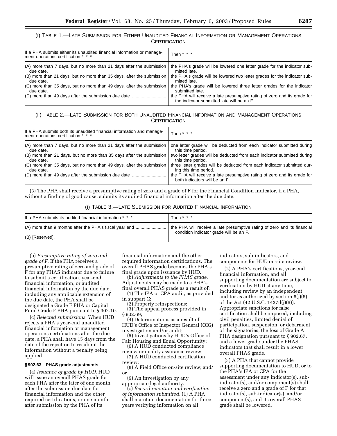# (I) TABLE 1.—LATE SUBMISSION FOR EITHER UNAUDITED FINANCIAL INFORMATION OR MANAGEMENT OPERATIONS **CERTIFICATION**

| If a PHA submits either its unaudited financial information or manage-<br>ment operations certification * * * | Then $* * *$                                                                                                           |
|---------------------------------------------------------------------------------------------------------------|------------------------------------------------------------------------------------------------------------------------|
| (A) more than 7 days, but no more than 21 days after the submission                                           | the PHA's grade will be lowered one letter grade for the indicator sub-                                                |
| due date.                                                                                                     | mitted late.                                                                                                           |
| (B) more than 21 days, but no more than 35 days, after the submission                                         | the PHA's grade will be lowered two letter grades for the indicator sub-                                               |
| due date.                                                                                                     | mitted late.                                                                                                           |
| (C) more than 35 days, but no more than 49 days, after the submission                                         | the PHA's grade will be lowered three letter grades for the indicator                                                  |
| due date.                                                                                                     | submitted late.                                                                                                        |
| (D) more than 49 days after the submission due date                                                           | the PHA will receive a late presumptive rating of zero and its grade for<br>the indicator submitted late will be an F. |

# (II) TABLE 2.—LATE SUBMISSION FOR BOTH UNAUDITED FINANCIAL INFORMATION AND MANAGEMENT OPERATIONS **CERTIFICATION**

| If a PHA submits both its unaudited financial information and manage-<br>ment operations certification * * *                                                                                                                                                                                                       | Then $* * *$                                                                                                                                                                                                                                                                                                                                                                                                 |
|--------------------------------------------------------------------------------------------------------------------------------------------------------------------------------------------------------------------------------------------------------------------------------------------------------------------|--------------------------------------------------------------------------------------------------------------------------------------------------------------------------------------------------------------------------------------------------------------------------------------------------------------------------------------------------------------------------------------------------------------|
| (A) more than 7 days, but no more than 21 days after the submission<br>due date.<br>(B) more than 21 days, but no more than 35 days after the submission<br>due date.<br>(C) more than 35 days, but no more than 49 days, after the submission<br>due date.<br>(D) more than 49 days after the submission due date | one letter grade will be deducted from each indicator submitted during<br>this time period.<br>two letter grades will be deducted from each indicator submitted during<br>this time period.<br>three letter grades will be deducted from each indicator submitted dur-<br>ing this time period.<br>the PHA will receive a late presumptive rating of zero and its grade for<br>both indicators will be an F. |

(3) The PHA shall receive a presumptive rating of zero and a grade of F for the Financial Condition Indicator, if a PHA, without a finding of good cause, submits its audited financial information after the due date.

(I) TABLE 3.—LATE SUBMISSION FOR AUDITED FINANCIAL INFORMATION

| If a PHA submits its audited financial information * * * | Then $* * * *$                                                           |  |
|----------------------------------------------------------|--------------------------------------------------------------------------|--|
| (A) more than 9 months after the PHA's fiscal year end   | the PHA will receive a late presumptive rating of zero and its financial |  |
| (B) [Reserved].                                          | condition indicator grade will be an F.                                  |  |

(b) *Presumptive rating of zero and grade of F.* If the PHA receives a presumptive rating of zero and grade of F for any PHAS indicator due to failure to submit a certification, year-end financial information, or audited financial information by the due date, including any applicable extension of the due date, the PHA shall be designated a Grade F PHA or Capital Fund Grade F PHA pursuant to § 902.10.

(c) *Rejected submissions.* When HUD rejects a PHA's year-end unaudited financial information or management operations certifications after the due date, a PHA shall have 15 days from the date of the rejection to resubmit the information without a penalty being applied.

#### **§ 902.63 PHAS grade adjustments.**

(a) *Issuance of grade by HUD.* HUD will issue an overall PHAS grade for each PHA after the later of one month after the submission due date for financial information and the other required certifications, or one month after submission by the PHA of its

financial information and the other required information certifications. The overall PHAS grade becomes the PHA's final grade upon issuance by HUD.

(b) *Adjustments to the PHAS grade.* Adjustments may be made to a PHA's final overall PHAS grade as a result of:

(1) The IPA or CPA audit, as provided in subpart C;

(2) Property reinspections;

(3) The appeal process provided in § 902.69;

(4) Determinations as a result of HUD's Office of Inspector General (OIG) investigation and/or audit;

(5) Investigations by HUD's Office of Fair Housing and Equal Opportunity;

(6) A HUD conducted compliance review or quality assurance review;

(7) A HUD conducted certification review;

(8) A Field Office on-site review; and/ or

(9) An investigation by any appropriate legal authority.

(c) *Record retention and verification of information submitted.* (1) A PHA shall maintain documentation for three years verifying information on all

indicators, sub-indicators, and components for HUD on-site review.

(2) A PHA's certifications, year-end financial information, and all supporting documentation are subject to verification by HUD at any time, including review by an independent auditor as authorized by section 6(j)(6) of the Act (42 U.S.C. 1437d(j)(6)). Appropriate sanctions for false certification shall be imposed, including civil penalties, limited denial of participation, suspension, or debarment of the signatories, the loss of Grade A PHA designation pursuant to § 902.67, and a lower grade under the PHAS indicators that shall result in a lower overall PHAS grade.

(3) A PHA that cannot provide supporting documentation to HUD, or to the PHA's IPA or CPA for the assessment under any indicator(s), subindicator(s), and/or component(s) shall receive a zero and a grade of F for that indicator(s), sub-indicator(s), and/or component(s), and its overall PHAS grade shall be lowered.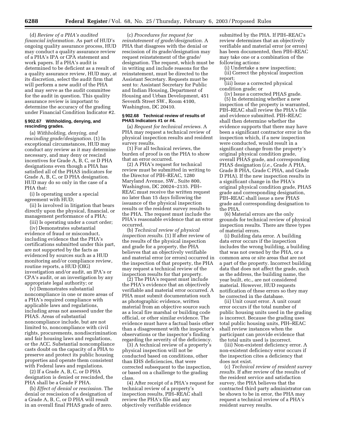(d) *Review of a PHA's audited financial information.* As part of HUD's ongoing quality assurance process, HUD may conduct a quality assurance review of a PHA's IPA or CPA statement and work papers. If a PHA's audit is determined to be deficient as a result of a quality assurance review, HUD may, at its discretion, select the audit firm that will perform a new audit of the PHA and may serve as the audit committee for the audit in question. This quality assurance review is important to determine the accuracy of the grading under Financial Condition Indicator #2.

# **§ 902.67 Withholding, denying, and rescinding grades.**

(a) *Withholding, denying, and rescinding grade/designation.* (1) In exceptional circumstances, HUD may conduct any review as it may determine necessary, and may deny or rescind incentives for Grade A, B, C, or D PHA designations even though a PHA has satisfied all of the PHAS indicators for Grade A, B, C, or D PHA designation. HUD may do so only in the case of a PHA that:

(i) Is operating under a special agreement with HUD;

(ii) Is involved in litigation that bears directly upon the physical, financial, or management performance of a PHA;

(iii) Is operating under a court order;

(iv) Demonstrates substantial evidence of fraud or misconduct, including evidence that the PHA's certifications submitted under this part, are not supported by the facts as evidenced by sources such as a HUD monitoring and/or compliance review, routine reports, a HUD (OIG) investigation and/or audit, an IPA's or CPA's audit, or an investigation by any appropriate legal authority; or

(v) Demonstrates substantial noncompliance in one or more areas of a PHA's required compliance with applicable laws and regulations, including areas not assessed under the PHAS. Areas of substantial noncompliance include, but are not limited to, noncompliance with civil rights, procurements, nondiscrimination and fair housing laws and regulations, or the ACC. Substantial noncompliance casts doubt on the capacity of a PHA to preserve and protect its public housing properties and operate them consistent with Federal laws and regulations.

(2) If a Grade A, B, C, or D PHA designation is denied or rescinded, the PHA shall be a Grade F PHA.

(b) *Effect of denial or rescission.* The denial or rescission of a designation of a Grade A, B, C, or D PHA will result in an overall final PHAS grade of zero.

(c) *Procedures for request for reinstatement of grade/designation.* A PHA that disagrees with the denial or rescission of its grade/designation may request reinstatement of the grade/ designation. The request, which must be in writing and include reasons for the reinstatement, must be directed to the Assistant Secretary. Requests must be sent to: Assistant Secretary for Public and Indian Housing, Department of Housing and Urban Development, 451 Seventh Street SW., Room 4100, Washington, DC 20410.

#### **§ 902.68 Technical review of results of PHAS Indicators #1 or #4.**

(a) *Request for technical reviews.* A PHA may request a technical review of physical inspection results and resident survey results.

(1) For all technical reviews, the burden of proof is on the PHA to show that an error occurred.

(2) A PHA's request for technical review must be submitted in writing to the Director of PIH–REAC, 1280 Maryland Avenue, SW., Suite 800, Washington, DC 20024–2135. PIH– REAC must receive the written request no later than 15 days following the issuance of the physical inspection results or the resident survey results to the PHA. The request must include the PHA's reasonable evidence that an error occurred.

(b) *Technical review of physical inspection results.* (1) If after review of the results of the physical inspection and grade for a property, the PHA believes that an objectively verifiable and material error (or errors) occurred in the inspection of that property, the PHA may request a technical review of the inspection results for that property.

(2) The PHA's request must include the PHA's evidence that an objectively verifiable and material error occurred. A PHA must submit documentation such as photographic evidence, written material from an objective source such as a local fire marshal or building code official, or other similar evidence. The evidence must have a factual basis other than a disagreement with the inspector's observations or the inspector's finding regarding the severity of the deficiency.

(3) A technical review of a property's physical inspection will not be conducted based on conditions, other than EHS deficiencies, that were corrected subsequent to the inspection, or based on a challenge to the grading class.

(4) After receipt of a PHA's request for technical review of a property's inspection results, PIH–REAC shall review the PHA's file and any objectively verifiable evidence

submitted by the PHA. If PIH–REAC's review determines that an objectively verifiable and material error (or errors) has been documented, then PIH–REAC may take one or a combination of the following actions:

(i) Undertake a new inspection; (ii) Correct the physical inspection report;

(iii) Issue a corrected physical condition grade; or

(iv) Issue a corrected PHAS grade. (5) In determining whether a new inspection of the property is warranted, PIH–REAC shall review the PHA's file and evidence submitted. PIH–REAC shall then determine whether the evidence supports that there may have been a significant contractor error in the inspection which, if a new inspection were conducted, would result in a significant change from the property's original physical condition grade, overall PHAS grade, and corresponding PHAS designation (*i.e.*, Grade A PHA, Grade B PHA, Grade C PHA, and Grade D PHA). If the new inspection results in a significant change in the PHA's original physical condition grade, PHAS grade and corresponding designation, PIH–REAC shall issue a new PHAS grade and corresponding designation to the PHA.

(6) Material errors are the only grounds for technical review of physical inspection results. There are three types of material errors.

(i) Building data error. A building data error occurs if the inspection includes the wrong building, a building that was not owned by the PHA, or a common area or site areas that are not a part of the property. Incorrect building data that does not affect the grade, such as the address, the building name, the year built, etc., are not considered material. However, HUD requests notification of these errors so they may be corrected in the database.

(ii) Unit count error. A unit count error occurs if the total number of public housing units used in the grading is incorrect. Because the grading uses total public housing units, PIH–REAC shall review instances when the participant can provide evidence that the total units used is incorrect.

(iii) Non-existent deficiency error. A non-existent deficiency error occurs if the inspection cites a deficiency that does not exist.

(c) *Technical review of resident survey results.* If after review of the results of the resident service and satisfaction survey, the PHA believes that the contracted third party administrator can be shown to be in error, the PHA may request a technical review of a PHA's resident survey results.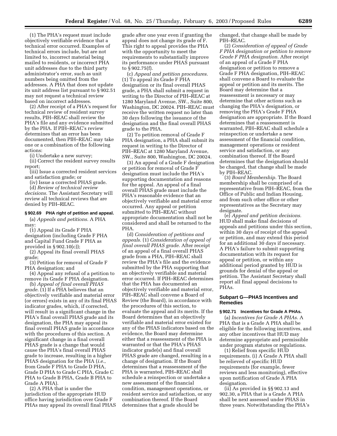(1) The PHA's request must include objectively verifiable evidence that a technical error occurred. Examples of technical errors include, but are not limited to, incorrect material being mailed to residents, or incorrect PHA unit addresses due to the third party administrator's error, such as unit numbers being omitted from the addresses. A PHA that does not update its unit address list pursuant to § 902.51 may not request a technical review based on incorrect addresses.

(2) After receipt of a PHA's request for technical review of resident survey results, PIH–REAC shall review the PHA's file and any evidence submitted by the PHA. If PIH–REAC's review determines that an error has been documented, then PIH–REAC may take one or a combination of the following actions:

(i) Undertake a new survey;

(ii) Correct the resident survey results report;

(iii) Issue a corrected resident services and satisfaction grade; or

(iv) Issue a corrected PHAS grade.

(d) *Review of technical review decisions.* The Assistant Secretary will review all technical reviews that are denied by PIH–REAC.

#### **§ 902.69 PHA right of petition and appeal.**

(a) *Appeals and petitions.* A PHA may:

(1) Appeal its Grade F PHA designation (including Grade F PHA and Capital Fund Grade F PHA as provided in § 902.10(c));

(2) Appeal its final overall PHAS grade;

(3) Petition for removal of Grade F PHA designation; and

(4) Appeal any refusal of a petition to remove its Grade F PHA designation.

(b) *Appeal of final overall PHAS grade.* (1) If a PHA believes that an objectively verifiable and material error (or errors) exists in any of its final PHAS indicator grades, which, if corrected, will result in a significant change in the PHA's final overall PHAS grade and its designation, the PHA may appeal its final overall PHAS grade in accordance with the procedures of this section. A significant change in a final overall PHAS grade is a change that would cause the PHA's final overall PHAS grade to increase, resulting in a higher PHAS designation for the PHA (*i.e.*, from Grade F PHA to Grade D PHA, Grade D PHA to Grade C PHA, Grade C PHA to Grade B PHA, Grade B PHA to Grade A PHA).

(2) A PHA that is under the jurisdiction of the appropriate HUD office having jurisdiction over Grade F PHAs may appeal its overall final PHAS grade after one year even if granting the appeal does not change its grade of F. This right to appeal provides the PHA with the opportunity to meet the requirements to substantially improve its performance under PHAS pursuant to § 902.75(f).

(c) *Appeal and petition procedures.* (1) To appeal its Grade F PHA designation or its final overall PHAS grade, a PHA shall submit a request in writing to the Director of PIH–REAC at 1280 Maryland Avenue, SW., Suite 800, Washington, DC 20024. PIH–REAC must receive the written request no later than 30 days following the issuance of the designation and the final overall PHAS grade to the PHA.

(2) To petition removal of Grade F PHA designation, a PHA shall submit its request in writing to the Director of PIH–REAC at 1280 Maryland Avenue, SW., Suite 800, Washington, DC 20024.

(3) An appeal of a Grade F designation or petition for removal of Grade F designation must include the PHA's supporting documentation and reasons for the appeal. An appeal of a final overall PHAS grade must include the PHA's reasonable evidence that an objectively verifiable and material error occurred. Any appeal or petition submitted to PIH–REAC without appropriate documentation shall not be considered and shall be returned to the PHA.

(d) *Consideration of petitions and appeals.* (1) *Consideration of appeal of final overall PHAS grade.* After receipt of an appeal of a final overall PHAS grade from a PHA, PIH–REAC shall review the PHA's file and the evidence submitted by the PHA supporting that an objectively verifiable and material error occurred. If PIH–REAC determines that the PHA has documented an objectively verifiable and material error, PIH–REAC shall convene a Board of Review (the Board), in accordance with the procedures of this section, to evaluate the appeal and its merits. If the Board determines that an objectively verifiable and material error existed for any of the PHAS indicators based on the evidence, the Board may determine either that a reassessment of the PHA is warranted or that the PHA's PHAS indicator grade(s) and final overall PHAS grade are changed, resulting in a change of designation. If the Board determines that a reassessment of the PHA is warranted, PIH–REAC shall schedule a reinspection or undertake a new assessment of the financial condition, management operations, or resident service and satisfaction, or any combination thereof. If the Board determines that a grade should be

changed, that change shall be made by PIH–REAC.

(2) *Consideration of appeal of Grade F PHA designation or petition to remove Grade F PHA designation.* After receipt of an appeal of a Grade F PHA designation or petition to remove a Grade F PHA designation, PIH–REAC shall convene a Board to evaluate the appeal or petition and its merits. The Board may determine that a reassessment is necessary or may determine that other actions such as changing the PHA's designation, or removing the PHA's Grade F PHA designation are appropriate. If the Board determines that a reassessment is warranted, PIH–REAC shall schedule a reinspection or undertake a new assessment of the financial condition, management operations or resident service and satisfaction, or any combination thereof. If the Board determines that the designation should be changed, that change shall be made by PIH–REAC.

(3) *Board Membership.* The Board membership shall be comprised of a representative from PIH–REAC, from the Office of Public and Indian Housing, and from such other office or other representatives as the Secretary may designate.

(e) *Appeal and petition decisions.* HUD shall make final decisions of appeals and petitions under this section, within 30 days of receipt of the appeal or petition, and may extend this period for an additional 30 days if necessary. A PHA's failure to submit supporting documentation with its request for appeal or petition, or within any additional period granted by HUD is grounds for denial of the appeal or petition. The Assistant Secretary shall report all final appeal decisions to PHAs.

# **Subpart G—PHAS Incentives and Remedies**

#### **§ 902.71 Incentives for Grade A PHAs.**

(a) *Incentives for Grade A PHAs.* A PHA that is a Grade A PHA shall be eligible for the following incentives, and any other incentives that HUD may determine appropriate and permissible under program statutes or regulations.

(1) Relief from specific HUD requirements. (i) A Grade A PHA shall be relieved of specific HUD requirements (for example, fewer reviews and less monitoring), effective upon notification of Grade A PHA designation.

(ii) As provided in §§ 902.13 and 902.30, a PHA that is a Grade A PHA shall be next assessed under PHAS in three years. Notwithstanding the PHA's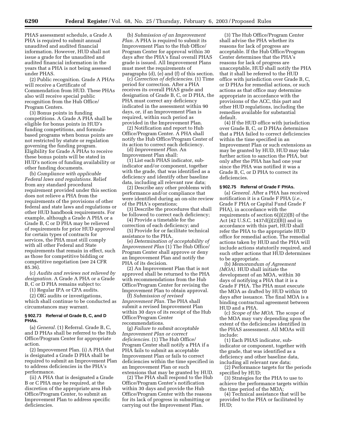PHAS assessment schedule, a Grade A PHA is required to submit annual unaudited and audited financial information. However, HUD shall not issue a grade for the unaudited and audited financial information in the years that a PHA is not being assessed under PHAS.

(2) Public recognition. Grade A PHAs will receive a Certificate of Commendation from HUD. These PHAs also will receive special public recognition from the Hub Office/ Program Centers.

(3) Bonus points in funding competitions. A Grade A PHA shall be eligible for bonus points in HUD's funding competitions, and formulabased programs when bonus points are not restricted by statute or regulation governing the funding program. Eligibility for Grade A PHAs to receive these bonus points will be stated in HUD's notices of funding availability or other funding documents.

(b) *Compliance with applicable Federal laws and regulations.* Relief from any standard procedural requirement provided under this section does not relieve a PHA from the requirements of the provisions of other federal and state laws and regulations or other HUD handbook requirements. For example, although a Grade A PHA or a Grade B, C or D PHA may be relieved of requirements for prior HUD approval for certain types of contracts for services, the PHA must still comply with all other Federal and State requirements that remain in effect, such as those for competitive bidding or competitive negotiation (see 24 CFR 85.36).

(c) *Audits and reviews not relieved by designation.* A Grade A PHA or a Grade B, C or D PHA remains subject to:

(1) Regular IPA or CPA audits.

(2) OIG audits or investigations, which shall continue to be conducted as circumstances may warrant.

#### **§ 902.73 Referral of Grade B, C, and D PHAs.**

(a) *General.* (1) Referral. Grade B, C, and D PHAs shall be referred to the Hub Office/Program Center for appropriate action.

(2) Improvement Plan. (i) A PHA that is designated a Grade D PHA shall be required to submit an Improvement Plan to address deficiencies in the PHA's performance.

(ii) A PHA that is designated a Grade B or C PHA may be required, at the discretion of the appropriate area Hub Office/Program Center, to submit an Improvement Plan to address specific deficiencies.

(b) *Submission of an Improvement Plan.* A PHA is required to submit its Improvement Plan to the Hub Office/ Program Center for approval within 30 days after the PHA's final overall PHAS grade is issued. All Improvement Plans must meet the requirements of paragraphs (d), (e) and (f) of this section.

(c) *Correction of deficiencies.* (1) Time period for correction. After a PHA receives its overall PHAS grade and designation of Grade B, C, or D PHA, the PHA must correct any deficiency indicated in the assessment within 90 days, or, if an Improvement Plan is required, within such period as provided in the Improvement Plan.

(2) Notification and report to Hub Office/Program Center. A PHA shall notify the Hub Office/Program Center of its action to correct each deficiency.

(d) *Improvement Plan.* An Improvement Plan shall:

(1) List each PHAS indicator, subindicator and/or component, together with the grade, that was identified as a deficiency and identify other baseline data, including all relevant raw data;

(2) Describe any other problems with performance and/or compliance that were identified during an on-site review of the PHA's operations;

(3) Describe the procedures that shall be followed to correct each deficiency;

(4) Provide a timetable for the

correction of each deficiency; and (5) Provide for or facilitate technical assistance to the PHA.

(e) *Determination of acceptability of Improvement Plan* (1) The Hub Office/ Program Center shall approve or deny an Improvement Plan and notify the PHA of its decision.

(2) An Improvement Plan that is not approved shall be returned to the PHA with recommendations from the Hub Office/Program Center for revising the Improvement Plan to obtain approval.

(f) *Submission of revised Improvement Plan.* The PHA shall submit a revised Improvement Plan within 30 days of its receipt of the Hub Office/Program Center recommendations.

(g) *Failure to submit acceptable Improvement Plan or correct deficiencies.* (1) The Hub Office/ Program Center shall notify a PHA if a PHA fails to submit an acceptable Improvement Plan or fails to correct deficiencies within the time specified in an Improvement Plan or such extensions that may be granted by HUD.

(2) The PHA shall respond to the Hub Office/Program Center's notification within 30 days and provide the Hub Office/Program Center with the reasons for its lack of progress in submitting or carrying out the Improvement Plan.

(3) The Hub Office/Program Center shall advise the PHA whether its reasons for lack of progress are acceptable. If the Hub Office/Program Center determines that the PHA's reasons for lack of progress are unacceptable, HUD shall notify the PHA that it shall be referred to the HUD office with jurisdiction over Grade B, C, or D PHAs for remedial actions, or such actions as that office may determine appropriate in accordance with the provisions of the ACC, this part and other HUD regulations, including the remedies available for substantial default.

(4) If the HUD office with jurisdiction over Grade B, C, or D PHAs determines that a PHA failed to correct deficiencies within the time specified in an Improvement Plan or such extensions as may be granted by HUD, HUD may take further action to sanction the PHA, but only after the PHA has had one year since the PHA was notified it was a Grade B, C, or D PHA to correct its deficiencies.

# **§ 902.75 Referral of Grade F PHAs.**

(a) *General.* After a PHA has received notification it is a Grade F PHA (*i.e.*, Grade F PHA or Capital Fund Grade F PHA), in accordance with the requirements of section  $6(j)(2)(B)$  of the Act (42 U.S.C. 1437d(j)(2)(B)) and in accordance with this part, HUD shall refer the PHA to the appropriate HUD office for remedial action. The remedial actions taken by HUD and the PHA will include actions statutorily required, and such other actions that HUD determines to be appropriate.

(b) *Memorandum of Agreement (MOA).* HUD shall initiate the development of an MOA, within 30 days of notifying a PHA that it is a Grade F PHA. The PHA must execute the MOA as drafted by HUD within 10 days after issuance. The final MOA is a binding contractual agreement between HUD and a PHA.

(c) *Scope of the MOA.* The scope of the MOA may vary depending upon the extent of the deficiencies identified in the PHAS assessment. All MOAs will include:

(1) Each PHAS indicator, subindicator or component, together with the grade, that was identified as a deficiency and other baseline data, including all relevant raw data;

(2) Performance targets for the periods specified by HUD;

(3) Strategies for the PHA to use to achieve the performance targets within the time period of the MOA;

(4) Technical assistance that will be provided to the PHA or facilitated by HUD;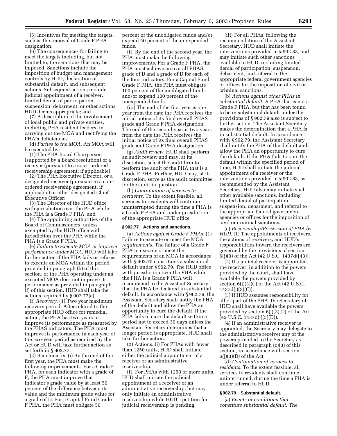(5) Incentives for meeting the targets, such as the removal of Grade F PHA designation;

(6) The consequences for failing to meet the targets including, but not limited to, the sanctions that may be imposed. Sanctions include the imposition of budget and management controls by HUD, declaration of substantial default, and subsequent actions. Subsequent actions include judicial appointment of a receiver, limited denial of participation, suspension, debarment, or other actions HUD deems appropriate; and

(7) A description of the involvement of local public and private entities, including PHA resident leaders, in carrying out the MOA and rectifying the PHA's deficiencies.

(d) *Parties to the MOA.* An MOA will be executed by:

(1) The PHA Board Chairperson (supported by a Board resolution) or a receiver (pursuant to a court ordered receivership agreement, if applicable);

(2) The PHA Executive Director, or a designated receiver (pursuant to a court ordered receivership agreement, if applicable) or other designated Chief Executive Officer;

(3) The Director of the HUD office with jurisdiction over the PHA while the PHA is a Grade F PHA; and

(4) The appointing authorities of the Board of Commissioners, unless exempted by the HUD office with jurisdiction over the PHA while the PHA is a Grade F PHA.

(e) *Failure to execute MOA or improve performance under MOA.* HUD will take further action if the PHA fails or refuses to execute an MOA within the period provided in paragraph (b) of this section, or the PHA operating under an executed MOA does not improve its performance as provided in paragraph (f) of this section. HUD shall take the actions required by § 902.77(a).

(f) *Recovery.* (1) Two year maximum recovery period. After referral to the appropriate HUD office for remedial action, the PHA has two years to improve its performance as measured by the PHAS indicators. The PHA must improve its performance in each year of the two-year period as required by the Act or HUD will take further action as set forth in § 902.77.

(2) Benchmarks. (i) By the end of the first year, the PHA must make the following improvements. For a Grade F PHA, for each indicator with a grade of F, the PHA must improve that indicator's grade value by at least 50 percent of the difference between its value and the minimum grade value for a grade of D. For a Capital Fund Grade F PHA, the PHA must obligate 50

percent of the unobligated funds and/or expend 50 percent of the unexpended funds.

(ii) By the end of the second year, the PHA must make the following improvements. For a Grade F PHA, the PHA must achieve an overall PHAS grade of D and a grade of D for each of the four indicators. For a Capital Fund Grade F PHA, the PHA must obligate 100 percent of the unobligated funds and/or expend 100 percent of the unexpended funds.

(iii) The end of the first year is one year from the date the PHA receives the initial notice of its final overall PHAS grade and Grade F PHA designation. The end of the second year is two years from the date the PHA receives the initial notice of its final overall PHAS grade and Grade F PHA designation.

(g) *Audit review.* HUD shall perform an audit review and may, at its discretion, select the audit firm to perform the audit of the PHA that is a Grade F PHA. Further, HUD may, at its discretion, serve as the audit committee for the audit in question.

(h) *Continuation of services to residents.* To the extent feasible, all services to residents will continue uninterrupted during the time a PHA is a Grade F PHA and under jurisdiction of the appropriate HUD office.

#### **§ 902.77 Actions and sanctions.**

(a) *Actions against Grade F PHAs.* (1) Failure to execute or meet the MOA *requirements*. The failure of a Grade F PHA to execute or meet the requirements of an MOA in accordance with § 902.75 constitutes a substantial default under § 902.79. The HUD office with jurisdiction over the PHA while the PHA is a Grade F PHA will recommend to the Assistant Secretary that the PHA be declared in substantial default. In accordance with § 902.79, the Assistant Secretary shall notify the PHA of the default and allow the PHA an opportunity to cure the default. If the PHA fails to cure the default within a period not to exceed 30 days unless the Assistant Secretary determines that a longer period is appropriate, HUD shall take further action.

(2) Actions. (i) For PHAs with fewer than 1250 units, HUD shall initiate either the judicial appointment of a receiver or an administrative receivership.

(ii) For PHAs with 1250 or more units, HUD shall initiate the judicial appointment of a receiver or an administrative receivership, but may only initiate an administrative receivership while HUD's petition for judicial receivership is pending.

(iii) For all PHAs, following the recommendation of the Assistant Secretary, HUD shall initiate the interventions provided in § 902.83, and may initiate such other sanctions available to HUD, including limited denial of participation, suspension, debarment, and referral to the appropriate federal government agencies or offices for the imposition of civil or criminal sanctions.

(b) *Actions against other PHAs in substantial default.* A PHA that is not a Grade F PHA, but that has been found to be in substantial default under the provisions of § 902.79 also is subject to further action. The Assistant Secretary makes the determination that a PHA is in substantial default. In accordance with § 902.79, the Assistant Secretary shall notify the PHA of the default and allow the PHA an opportunity to cure the default. If the PHA fails to cure the default within the specified period of time, HUD shall initiate the judicial appointment of a receiver or the interventions provided in § 902.83, as recommended by the Assistant Secretary. HUD also may initiate such other available sanctions, including limited denial of participation, suspension, debarment, and referral to the appropriate federal government agencies or offices for the imposition of civil or criminal sanctions.

(c) *Receivership/Possession of PHA by HUD.* (1) The appointments of receivers, the actions of receivers, and HUD's responsibilities toward the receivers are governed by the provisions of section  $6(j)(3)$  of the Act (42 U.S.C. 1437d(j)(3)).

(2) If a judicial receiver is appointed, the receiver, in addition to the powers provided by the court, shall have available the powers provided by section  $6(j)(3)(C)$  of the Act (42 U.S.C. 1437d(j)(3)(C)).

(3) If HUD assumes responsibility for all or part of the PHA, the Secretary of HUD shall have available the powers provided by section 6(j)(3)(D) of the Act  $(42 \text{ U.S.C. } 1437 \text{d}(j)(3)(D)).$ 

(4) If an administrative receiver is appointed, the Secretary may delegate to the administrative receiver any of the powers provided to the Secretary as described in paragraph (c)(3) of this section, in accordance with section  $6(j)(3)(D)$  of the Act.

(d) *Continuation of services to residents.* To the extent feasible, all services to residents shall continue uninterrupted, during the time a PHA is under referral to HUD.

# **§ 902.79 Substantial default.**

(a) *Events or conditions that constitute substantial default.* The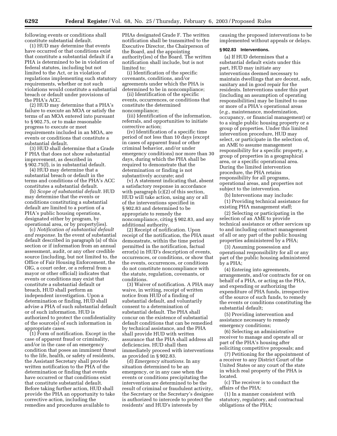following events or conditions shall constitute substantial default.

(1) HUD may determine that events have occurred or that conditions exist that constitute a substantial default if a PHA is determined to be in violation of federal statutes, including but not limited to the Act, or in violation of regulations implementing such statutory requirements, whether or not such violations would constitute a substantial breach or default under provisions of the PHA's ACC.

(2) HUD may determine that a PHA's failure to execute an MOA or satisfy the terms of an MOA entered into pursuant to § 902.75, or to make reasonable progress to execute or meet requirements included in an MOA, are events or conditions that constitute a substantial default.

(3) HUD shall determine that a Grade F PHA that does not show substantial improvement, as described in § 902.75(f), is in substantial default.

(4) HUD may determine that a substantial breach or default in the terms and conditions of the PHA's ACC constitutes a substantial default.

(b) *Scope of substantial default.* HUD may determine that the events or conditions constituting a substantial default are limited to a portion of a PHA's public housing operations, designated either by program, by operational area, or by property(ies).

(c) *Notification of substantial default and response.* In the event of substantial default described in paragraph (a) of this section or if information from an annual assessment, audit, or any other credible source (including, but not limited to, the Office of Fair Housing Enforcement, the OIG, a court order, or a referral from a mayor or other official) indicates that events or conditions may exist that constitute a substantial default or breach, HUD shall perform an independent investigation. Upon a determination or finding, HUD shall advise a PHA of such substantial default or of such information. HUD is authorized to protect the confidentiality of the source(s) of such information in appropriate cases.

(1) Form of notification. Except in the case of apparent fraud or criminality, and/or in the case of an emergency condition that poses an imminent threat to the life, health, or safety of residents, the Assistant Secretary shall provide written notification to the PHA of the determination or finding that events have occurred or that conditions exist that constitute substantial default. Before taking further action, HUD shall provide the PHA an opportunity to take corrective action, including the remedies and procedures available to

PHAs designated Grade F. The written notification shall be transmitted to the Executive Director, the Chairperson of the Board, and the appointing authority(ies) of the Board. The written notification shall include, but is not limited to:

(i) Identification of the specific covenants, conditions, and/or agreements under which the PHA is determined to be in noncompliance;

(ii) Identification of the specific events, occurrences, or conditions that constitute the determined noncompliance;

(iii) Identification of the information, referrals, and opportunities to initiate corrective action;

(iv) Identification of a specific time period of not less than 10 days (except in cases of apparent fraud or other criminal behavior, and/or under emergency conditions) nor more than 30 days, during which the PHA shall be required to demonstrate that the determination or finding is not substantively accurate; and

(v) A statement indicating that, absent a satisfactory response in accordance with paragraph (c)(2) of this section, HUD will take action, using any or all of the interventions specified in § 902.83 and determined to be appropriate to remedy the noncompliance, citing § 902.83, and any additional authority.

(2) Receipt of notification. Upon receipt of the notification, the PHA must demonstrate, within the time period permitted in the notification, factual error(s) in HUD's description of events, occurrences, or conditions, or show that the events, occurrences, or conditions do not constitute noncompliance with the statute, regulation, covenants, or conditions.

(3) Waiver of notification. A PHA may waive, in writing, receipt of written notice from HUD of a finding of substantial default, and voluntarily consent to a determination of substantial default. The PHA shall concur on the existence of substantial default conditions that can be remedied by technical assistance, and the PHA shall provide HUD with written assurance that the PHA shall address all deficiencies. HUD shall then immediately proceed with interventions as provided in § 902.83.

(d) *Emergency situations.* In any situation determined to be an emergency, or in any case when the events or conditions precipitating the intervention are determined to be the result of criminal or fraudulent activity, the Secretary or the Secretary's designee is authorized to intercede to protect the residents' and HUD's interests by

causing the proposed interventions to be implemented without appeals or delays.

#### **§ 902.83 Interventions.**

(a) If HUD determines that a substantial default exists under this part, HUD may initiate any interventions deemed necessary to maintain dwellings that are decent, safe, sanitary and in good repair for the residents. Interventions under this part (including an assumption of operating responsibilities) may be limited to one or more of a PHA's operational areas (*e.g.*, maintenance, modernization, occupancy, or financial management) or to a single public housing property or a group of properties. Under this limited intervention procedure, HUD may select, or participate in the selection of, an AME to assume management responsibility for a specific property, a group of properties in a geographical area, or a specific operational area. During the limited intervention procedure, the PHA retains responsibility for all programs, operational areas, and properties not subject to the intervention.

(b) Interventions may include:

(1) Providing technical assistance for existing PHA management staff;

(2) Selecting or participating in the selection of an AME to provide technical assistance or other services up to and including contract management of all or any part of the public housing properties administered by a PHA;

(3) Assuming possession and operational responsibility for all or any part of the public housing administered by a PHA;

(4) Entering into agreements, arrangements, and/or contracts for or on behalf of a PHA, or acting as the PHA, and expending or authorizing the expenditure of PHA funds, irrespective of the source of such funds, to remedy the events or conditions constituting the substantial default;

(5) Providing intervention and assistance necessary to remedy emergency conditions;

(6) Selecting an administrative receiver to manage and operate all or part of the PHA's housing after soliciting competitive proposals; and

(7) Petitioning for the appointment of a receiver to any District Court of the United States or any court of the state in which real property of the PHA is located.

(c) The receiver is to conduct the affairs of the PHA:

(1) In a manner consistent with statutory, regulatory, and contractual obligations of the PHA;